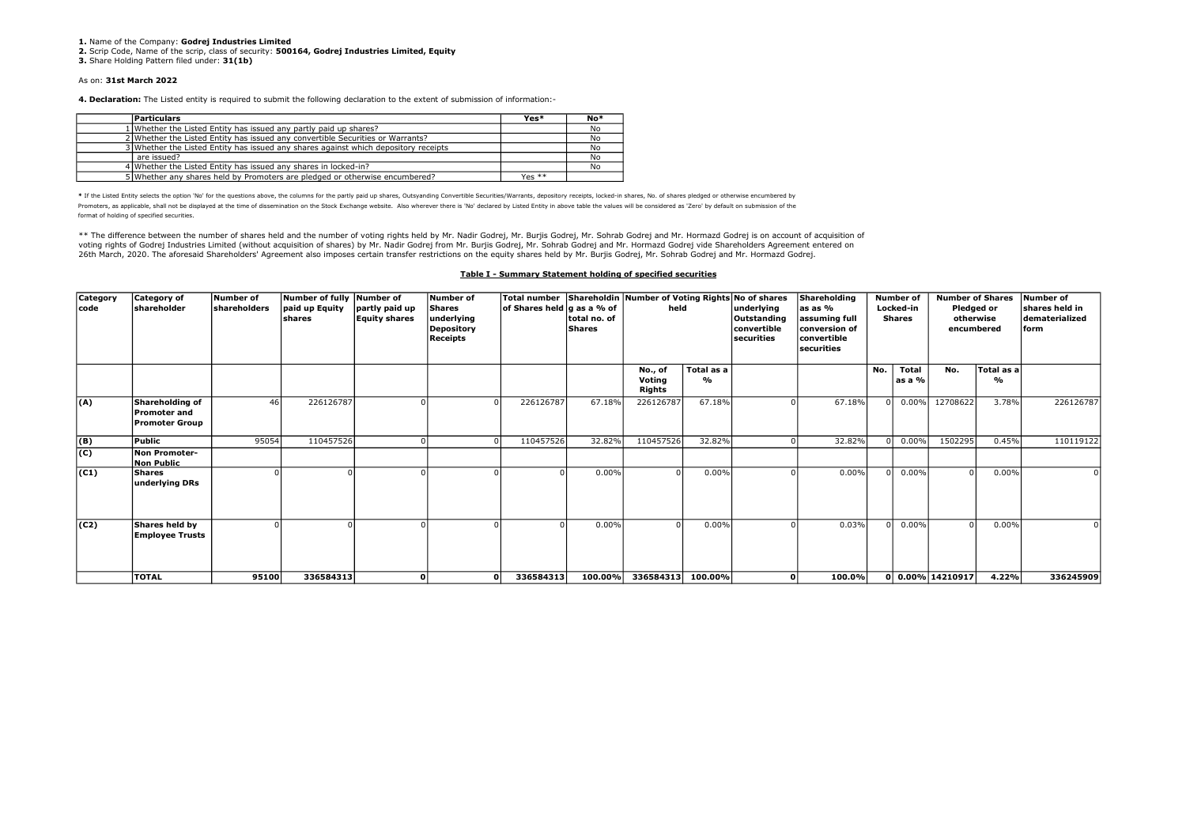1. Name of the Company: Godrei Industries Limited

2. Scrip Code, Name of the scrip, class of security: 500164, Godrej Industries Limited, Equity

3. Share Holding Pattern filed under: 31(1b)

#### As on: 31st March 2022

4. Declaration: The Listed entity is required to submit the following declaration to the extent of submission of information:-

| <b>Particulars</b>                                                                  | Yes*     | $No*$ |
|-------------------------------------------------------------------------------------|----------|-------|
| 1 Whether the Listed Entity has issued any partly paid up shares?                   |          | No    |
| 2 Whether the Listed Entity has issued any convertible Securities or Warrants?      |          | No    |
| 3 Whether the Listed Entity has issued any shares against which depository receipts |          | No    |
| are issued?                                                                         |          | No    |
| 4 Whether the Listed Entity has issued any shares in locked-in?                     |          | No.   |
| 5 Whether any shares held by Promoters are pledged or otherwise encumbered?         | Yes $**$ |       |

\* If the Listed Entity selects the option 'No' for the questions above, the columns for the partly paid up shares, Outsyanding Convertible Securities/Warrants, depository receipts, locked-in shares, No. of shares pledged o Promoters, as applicable, shall not be displayed at the time of dissemination on the Stock Exchange website. Also wherever there is 'No' declared by Listed Entity in above table the values will be considered as 'Zero' by d format of holding of specified securities.

\*\* The difference between the number of shares held and the number of voting rights held by Mr. Nadir Godrej, Mr. Burjis Godrej, Mr. Sohrab Godrej and Mr. Hormazd Godrej is on account of acquisition of voting rights of Godrej Industries Limited (without acquisition of shares) by Mr. Nadir Godrej from Mr. Burjis Godrej, Mr. Sohrab Godrej and Mr. Hormazd Godrej vide Shareholders Agreement entered on 26th March, 2020. The aforesaid Shareholders' Agreement also imposes certain transfer restrictions on the equity shares held by Mr. Burjis Godrej, Mr. Sohrab Godrej and Mr. Hormazd Godrej.

### Table I - Summary Statement holding of specified securities

| Category<br>code | Category of<br>shareholder                                      | Number of<br><b>shareholders</b> | Number of fully Number of<br>paid up Equity<br>İshares | partly paid up<br><b>Equity shares</b> | <b>Number of</b><br><b>Shares</b><br>underlying<br><b>Depository</b><br>Receipts | of Shares held g as a % of | total no. of<br>Shares | Total number Shareholdin Number of Voting Rights No of shares<br>held<br>Total as a<br>No., of<br>Voting<br>% |          | underlying<br>Outstanding<br>convertible<br>securities | Shareholding<br>las as %<br>assuming full<br>conversion of<br> convertible<br>securities |          | <b>Number of</b><br>Locked-in<br><b>Shares</b> | <b>Number of Shares</b><br>Pledged or<br>otherwise<br>encumbered |                             | Number of<br>shares held in<br>dematerialized<br>form |
|------------------|-----------------------------------------------------------------|----------------------------------|--------------------------------------------------------|----------------------------------------|----------------------------------------------------------------------------------|----------------------------|------------------------|---------------------------------------------------------------------------------------------------------------|----------|--------------------------------------------------------|------------------------------------------------------------------------------------------|----------|------------------------------------------------|------------------------------------------------------------------|-----------------------------|-------------------------------------------------------|
|                  |                                                                 |                                  |                                                        |                                        |                                                                                  |                            |                        | Rights                                                                                                        |          |                                                        |                                                                                          | No.      | <b>Total</b><br>as a %                         | No.                                                              | Total as a<br>$\frac{9}{6}$ |                                                       |
| (A)              | Shareholding of<br><b>Promoter and</b><br><b>Promoter Group</b> | 46                               | 226126787                                              |                                        | $\Omega$                                                                         | 226126787                  | 67.18%                 | 226126787                                                                                                     | 67.18%   |                                                        | 67.18%                                                                                   | ΩL       | $0.00\%$                                       | 12708622                                                         | 3.78%                       | 226126787                                             |
| (B)              | Public                                                          | 95054                            | 110457526                                              |                                        |                                                                                  | 110457526                  | 32.82%                 | 110457526                                                                                                     | 32.82%   |                                                        | 32.82%                                                                                   |          | $0.00\%$                                       | 1502295                                                          | 0.45%                       | 110119122                                             |
| (C)              | Non Promoter-<br><b>Non Public</b>                              |                                  |                                                        |                                        |                                                                                  |                            |                        |                                                                                                               |          |                                                        |                                                                                          |          |                                                |                                                                  |                             |                                                       |
| (C1)             | <b>Shares</b><br>underlying DRs                                 |                                  |                                                        |                                        |                                                                                  |                            | 0.00%                  |                                                                                                               | 0.00%    |                                                        | 0.00%                                                                                    | ΩL       | 0.00%                                          | $\Omega$                                                         | 0.00%                       |                                                       |
| (C2)             | Shares held by<br><b>Employee Trusts</b>                        |                                  |                                                        |                                        |                                                                                  |                            | 0.00%                  |                                                                                                               | $0.00\%$ |                                                        | 0.03%                                                                                    | $\Omega$ | 0.00%                                          | $\Omega$                                                         | 0.00%                       |                                                       |
|                  | <b>TOTAL</b>                                                    | 95100                            | 336584313                                              |                                        | οl                                                                               | 336584313                  | 100.00%                | 336584313                                                                                                     | 100.00%  | οl                                                     | 100.0%                                                                                   |          |                                                | 0 0.00% 14210917                                                 | 4.22%                       | 336245909                                             |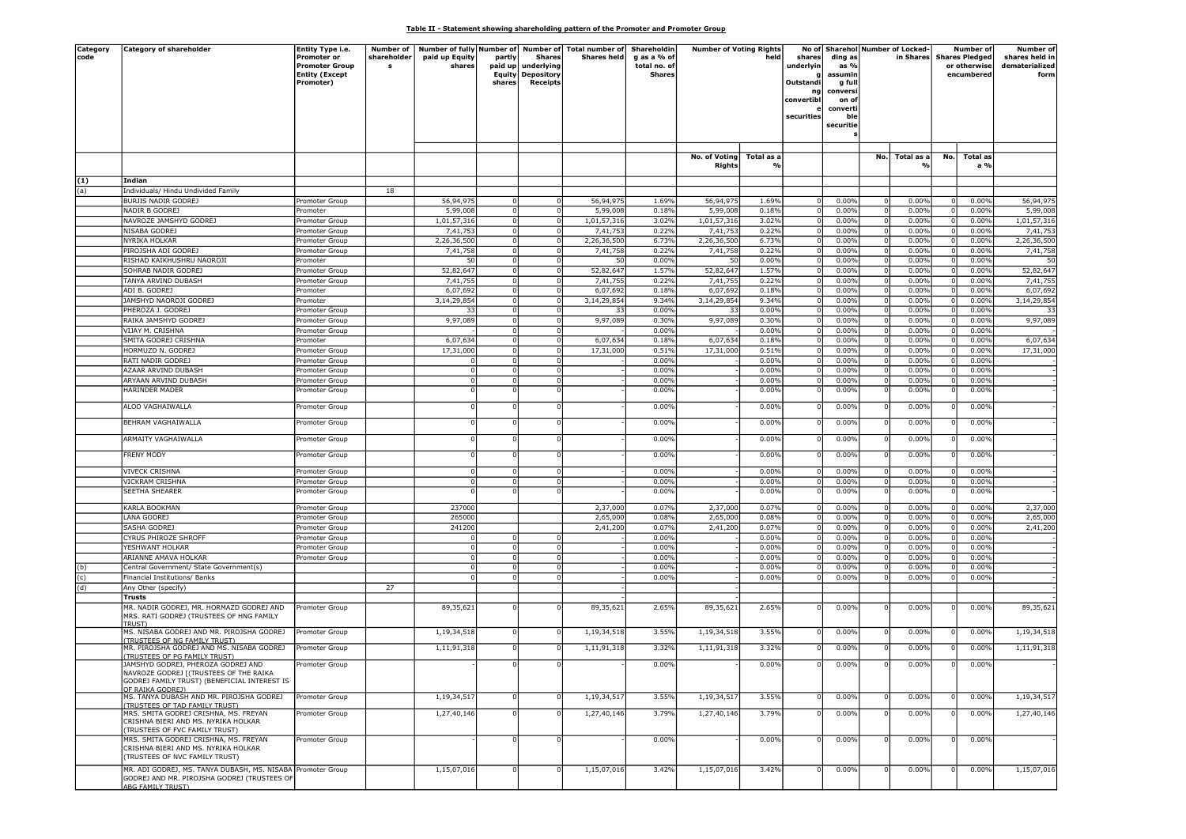## Table II - Statement showing shareholding pattern of the Promoter and Promoter Group

| Category | Category of shareholder                                     | Entity Type i.e.      | Number of   |                |          |                          | Number of fully Number of Number of Total number of | Shareholdin   | <b>Number of Voting Rights</b> |            |                |           |             | No of Sharehol Number of Locked- |                         | Number of             | Number of      |
|----------|-------------------------------------------------------------|-----------------------|-------------|----------------|----------|--------------------------|-----------------------------------------------------|---------------|--------------------------------|------------|----------------|-----------|-------------|----------------------------------|-------------------------|-----------------------|----------------|
| code     |                                                             | Promoter or           | shareholder | paid up Equity | partly   | Shares                   | <b>Shares held</b>                                  | g as a % of   |                                | held       | shares         | ding as   |             | in Shares                        |                         | <b>Shares Pledged</b> | shares held in |
|          |                                                             | <b>Promoter Group</b> | s           | shares         | paid up  | underlying               |                                                     | total no. of  |                                |            | underlyin      | as %      |             |                                  |                         | or otherwise          | dematerialized |
|          |                                                             | <b>Entity (Except</b> |             |                |          | <b>Equity Depository</b> |                                                     | <b>Shares</b> |                                |            |                | assumir   |             |                                  |                         | encumbered            | forn           |
|          |                                                             | Promoter)             |             |                | shares   | Receipts                 |                                                     |               |                                |            | Outstandi      | g ful     |             |                                  |                         |                       |                |
|          |                                                             |                       |             |                |          |                          |                                                     |               |                                |            |                | convers   |             |                                  |                         |                       |                |
|          |                                                             |                       |             |                |          |                          |                                                     |               |                                |            | convertibl     | on of     |             |                                  |                         |                       |                |
|          |                                                             |                       |             |                |          |                          |                                                     |               |                                |            |                | converti  |             |                                  |                         |                       |                |
|          |                                                             |                       |             |                |          |                          |                                                     |               |                                |            | securities     | Ыø        |             |                                  |                         |                       |                |
|          |                                                             |                       |             |                |          |                          |                                                     |               |                                |            |                | securitie |             |                                  |                         |                       |                |
|          |                                                             |                       |             |                |          |                          |                                                     |               |                                |            |                |           |             |                                  |                         |                       |                |
|          |                                                             |                       |             |                |          |                          |                                                     |               |                                |            |                |           |             |                                  |                         |                       |                |
|          |                                                             |                       |             |                |          |                          |                                                     |               |                                |            |                |           |             |                                  |                         |                       |                |
|          |                                                             |                       |             |                |          |                          |                                                     |               | No. of Voting                  | Total as a |                |           | No.         | Total as a                       | No.                     | Total as              |                |
|          |                                                             |                       |             |                |          |                          |                                                     |               | Rights                         |            |                |           |             |                                  |                         | a %                   |                |
|          |                                                             |                       |             |                |          |                          |                                                     |               |                                |            |                |           |             |                                  |                         |                       |                |
| (1)      | Indian                                                      |                       |             |                |          |                          |                                                     |               |                                |            |                |           |             |                                  |                         |                       |                |
| (a)      | Individuals/ Hindu Undivided Family                         |                       | 18          |                |          |                          |                                                     |               |                                |            |                |           |             |                                  |                         |                       |                |
|          | BURJIS NADIR GODREJ                                         |                       |             | 56,94,97       |          |                          | 56,94,975                                           | 1.69%         | 56,94,97                       | 1.69%      |                | 0.00%     |             | 0.00%                            |                         | 0.00%                 | 56,94,975      |
|          |                                                             | Promoter Group        |             |                |          |                          |                                                     |               |                                |            |                |           |             |                                  |                         |                       |                |
|          | NADIR B GODREJ                                              | romoter               |             | 5,99,008       |          |                          | 5,99,008                                            | 0.18%         | 5,99,008                       | 0.18%      |                | 0.00%     |             | 0.00%                            | $\overline{0}$          | 0.00%                 | 5,99,008       |
|          | NAVROZE JAMSHYD GODREJ                                      | Promoter Group        |             | 1,01,57,316    | 0        | $\Omega$                 | 1,01,57,316                                         | 3.02%         | 1,01,57,316                    | 3.02%      | $\mathbf 0$    | 0.00%     | $\mathbf 0$ | 0.00%                            | 0                       | 0.00%                 | 1,01,57,316    |
|          | NISABA GODREJ                                               | romoter Group         |             | 7,41,75        |          |                          | 7,41,753                                            | 0.22%         | 7,41,753                       | 0.22%      |                | 0.00%     |             | 0.00%                            |                         | 0.00%                 | 7,41,753       |
|          | NYRIKA HOLKAR                                               | Promoter Group        |             | 2,26,36,500    |          |                          | 2,26,36,500                                         | 6.73%         | 2,26,36,500                    | 6.73%      | $\Omega$       | 0.00%     |             | 0.00%                            |                         | 0.00%                 | 2,26,36,500    |
|          | PIROJSHA ADI GODREJ                                         | Promoter Group        |             | 7,41,758       | $\Omega$ | $\Omega$                 |                                                     | 0.22%         | 7,41,758                       | 0.22%      | $\Omega$       | 0.00%     | $\mathbf 0$ | 0.00%                            | $\Omega$                | 0.00%                 | 7,41,758       |
|          |                                                             |                       |             |                |          |                          | 7,41,758                                            |               |                                |            |                |           |             |                                  |                         |                       |                |
|          | RISHAD KAIKHUSHRU NAOROJI                                   | romoter               |             | 50             |          |                          | 50                                                  | 0.00%         | 50                             | 0.00%      |                | 0.00%     | $\Omega$    | 0.00%                            |                         | 0.00%                 | 50             |
|          | SOHRAB NADIR GODREJ                                         | Promoter Group        |             | 52,82,647      |          |                          | 52,82,647                                           | 1.57%         | 52,82,647                      | 1.57%      |                | 0.00%     | - 0         | 0.00%                            |                         | 0.00%                 | 52,82,647      |
|          | TANYA ARVIND DUBASH                                         | Promoter Group        |             | 7,41,755       | $\Omega$ | $\Omega$                 | 7,41,755                                            | 0.22%         | 7,41,755                       | 0.22%      | $\Omega$       | 0.00%     | $\mathbf 0$ | 0.00%                            |                         | 0.00%                 | 7,41,755       |
|          | ADI B. GODREJ                                               | romoter               |             | 6,07,692       |          | $\Omega$                 | 6,07,692                                            | 0.18%         | 6,07,692                       | 0.18%      | $\Omega$       | 0.00%     | 0           | 0.00%                            |                         | 0.00%                 | 6,07,692       |
|          |                                                             |                       |             |                |          |                          |                                                     |               |                                |            |                |           |             |                                  |                         |                       |                |
|          | JAMSHYD NAOROJI GODREJ                                      | Promoter              |             | 3,14,29,854    |          |                          | 3,14,29,854                                         | 9.34%         | 3,14,29,854                    | 9.34%      | $\Omega$       | 0.00%     | $^{\circ}$  | 0.00%                            | $\Omega$                | 0.00%                 | 3,14,29,854    |
|          | PHEROZA J. GODREJ                                           | Promoter Group        |             | 3.             |          | $\Omega$                 | 33                                                  | 0.00%         | 33                             | 0.00%      | $\Omega$       | 0.00%     | $\Omega$    | 0.00%                            |                         | 0.00%                 | 33             |
|          | RAIKA JAMSHYD GODREJ                                        | romoter Group         |             | 9,97,089       |          | $\Omega$                 | 9,97,089                                            | 0.30%         | 9,97,089                       | 0.30%      |                | 0.00%     |             | 0.00%                            |                         | 0.00%                 | 9,97,089       |
|          | VIJAY M. CRISHNA                                            | Promoter Group        |             |                | $\Omega$ | $\Omega$                 |                                                     | 0.00%         |                                | 0.00%      | $\overline{0}$ | 0.00%     | $\mathbf 0$ | 0.00%                            |                         | 0.00%                 |                |
|          | SMITA GODREJ CRISHNA                                        |                       |             |                |          | $\Omega$                 | 6,07,634                                            | 0.18%         | 6,07,634                       | 0.18%      | $\Omega$       | 0.00%     | $\Omega$    | 0.00%                            |                         | 0.00%                 | 6,07,634       |
|          |                                                             | Promoter              |             | 6,07,634       |          |                          |                                                     |               |                                |            |                |           |             |                                  |                         |                       |                |
|          | HORMUZD N. GODREJ                                           | romoter Group         |             | 17,31,000      |          |                          | 17,31,000                                           | 0.51%         | 17,31,000                      | 0.51%      | $\Omega$       | 0.00%     |             | 0.00%                            |                         | 0.00%                 | 17,31,000      |
|          | RATI NADIR GODREJ                                           | Promoter Group        |             |                | $\Omega$ | $\Omega$                 |                                                     | 0.00%         |                                | 0.00%      | 0              | 0.00%     | $^{\circ}$  | 0.00%                            | $\overline{\mathbf{0}}$ | 0.00%                 |                |
|          | AZAAR ARVIND DUBASH                                         | romoter Group         |             |                |          |                          |                                                     | 0.00%         |                                | 0.00%      |                | 0.00%     | $\Omega$    | 0.00%                            |                         | 0.00%                 |                |
|          | ARYAAN ARVIND DUBASH                                        | Promoter Group        |             |                |          |                          |                                                     | 0.00%         |                                | 0.00%      |                | 0.00%     | - 0         | 0.00%                            |                         | 0.00%                 |                |
|          |                                                             |                       |             |                |          |                          |                                                     |               |                                |            |                |           |             |                                  |                         |                       |                |
|          | <b>HARINDER MADER</b>                                       | Promoter Group        |             |                |          |                          |                                                     | 0.00%         |                                | 0.00%      |                | 0.00%     | $\Omega$    | 0.00%                            |                         | 0.00%                 |                |
|          |                                                             |                       |             |                |          |                          |                                                     |               |                                |            |                |           |             |                                  |                         |                       |                |
|          | ALOO VAGHAIWALLA                                            | Promoter Group        |             |                |          |                          |                                                     | 0.00%         |                                | 0.00%      |                | 0.00%     |             | 0.00%                            |                         | 0.00%                 |                |
|          | BEHRAM VAGHAIWALLA                                          |                       |             |                |          |                          |                                                     | 0.00%         |                                | 0.00%      |                |           | - 0         | 0.00%                            |                         | 0.00%                 |                |
|          |                                                             | Promoter Group        |             |                |          |                          |                                                     |               |                                |            |                | 0.00%     |             |                                  |                         |                       |                |
|          | ARMAITY VAGHAIWALLA                                         | Promoter Group        |             |                |          |                          |                                                     | 0.00%         |                                | 0.00%      |                | 0.00%     |             |                                  |                         | 0.00%                 |                |
|          |                                                             |                       |             |                |          |                          |                                                     |               |                                |            |                |           |             | 0.00%                            |                         |                       |                |
|          | FRENY MODY                                                  |                       |             |                |          |                          |                                                     | 0.00%         |                                | 0.00%      |                | 0.00%     |             | 0.00%                            |                         | 0.00%                 |                |
|          |                                                             | Promoter Group        |             |                |          |                          |                                                     |               |                                |            |                |           |             |                                  |                         |                       |                |
|          | <b>VIVECK CRISHNA</b>                                       |                       |             |                |          |                          |                                                     | 0.00%         |                                | 0.00%      |                | 0.00%     | 0           | 0.00%                            |                         | 0.00%                 |                |
|          |                                                             | Promoter Group        |             |                |          |                          |                                                     |               |                                |            |                |           |             |                                  |                         |                       |                |
|          | VICKRAM CRISHNA                                             | romoter Group         |             |                |          |                          |                                                     | 0.00%         |                                | 0.00%      |                | 0.00%     | 0           | 0.00%                            |                         | 0.00%                 |                |
|          | SEETHA SHEARER                                              | Promoter Group        |             |                |          |                          |                                                     | 0.00%         |                                | 0.00%      |                | 0.00%     | $^{\circ}$  | 0.00%                            |                         | 0.00%                 |                |
|          |                                                             |                       |             |                |          |                          |                                                     |               |                                |            |                |           |             |                                  |                         |                       |                |
|          | KARLA BOOKMAN                                               | Promoter Group        |             | 237000         |          |                          | 2,37,000                                            | 0.07%         | 2,37,000                       | 0.07%      | n              | 0.00%     | - 0         | 0.00%                            |                         | 0.00%                 | 2,37,000       |
|          | LANA GODREJ                                                 | Promoter Group        |             | 265000         |          |                          | 2,65,000                                            | 0.08%         | 2,65,000                       | 0.08%      | $\Omega$       | 0.00%     | $\Omega$    | 0.00%                            |                         | 0.00%                 | 2,65,000       |
|          | SASHA GODREJ                                                | romoter Group         |             | 241200         |          |                          | 2,41,200                                            | 0.07%         | 2,41,200                       | 0.07%      |                | 0.00%     |             | 0.00%                            | $\Omega$                | 0.00%                 | 2,41,200       |
|          | CYRUS PHIROZE SHROFF                                        | Promoter Group        |             |                |          |                          |                                                     | 0.00%         |                                | 0.00%      | $\mathbf 0$    | 0.00%     | $\mathbf 0$ | 0.00%                            | - 0                     | 0.00%                 |                |
|          |                                                             |                       |             |                |          |                          |                                                     |               |                                |            |                |           |             |                                  |                         |                       |                |
|          | YESHWANT HOLKAR                                             | romoter Group         |             |                |          |                          |                                                     | 0.00%         |                                | 0.00%      |                | 0.00%     |             | 0.00%                            |                         | 0.00%                 |                |
|          | ARIANNE AMAVA HOLKAR                                        | romoter Group         |             |                |          |                          |                                                     | 0.00%         |                                | 0.00%      |                | 0.00%     | $\Omega$    | 0.00%                            |                         | 0.00%                 |                |
| (b)      | Central Government/ State Government(s)                     |                       |             |                |          |                          |                                                     | 0.00%         |                                | 0.00%      | $\Omega$       | 0.00%     | $^{\circ}$  | 0.00%                            |                         | 0.00%                 |                |
| (c)      | Financial Institutions/ Banks                               |                       |             |                |          |                          |                                                     | 0.00%         |                                | 0.00%      |                | 0.00%     | 0           | 0.00%                            |                         | 0.00%                 |                |
| (d)      | Any Other (specify)                                         |                       | 27          |                |          |                          |                                                     |               |                                |            |                |           |             |                                  |                         |                       |                |
|          |                                                             |                       |             |                |          |                          |                                                     |               |                                |            |                |           |             |                                  |                         |                       |                |
|          | <b>Trusts</b>                                               |                       |             |                |          |                          |                                                     |               |                                |            |                |           |             |                                  |                         |                       |                |
|          | MR. NADIR GODREJ, MR. HORMAZD GODREJ AND                    | Promoter Group        |             | 89,35,621      |          |                          | 89,35,621                                           | 2.65%         | 89,35,621                      | 2.65%      |                | 0.00%     |             | 0.00%                            |                         | 0.00%                 | 89,35,621      |
|          | MRS. RATI GODREJ (TRUSTEES OF HNG FAMILY                    |                       |             |                |          |                          |                                                     |               |                                |            |                |           |             |                                  |                         |                       |                |
|          | TRUST                                                       |                       |             |                |          |                          |                                                     |               |                                |            |                |           |             |                                  |                         |                       |                |
|          | MS. NISABA GODREJ AND MR. PIROJSHA GODREJ                   | Promoter Group        |             | 1,19,34,518    |          |                          | 1,19,34,518                                         | 3.55%         | 1,19,34,518                    | 3.55%      |                | 0.00%     | $\Omega$    | 0.00%                            |                         | 0.00%                 | 1,19,34,518    |
|          | (TRUSTEES OF NG FAMILY TRUST)                               |                       |             |                |          |                          |                                                     |               |                                |            |                |           |             |                                  |                         |                       |                |
|          | MR. PIROJSHA GODREJ AND MS. NISABA GODREJ                   | Promoter Group        |             | 1,11,91,318    |          |                          | 1,11,91,318                                         | 3.32%         | 1,11,91,318                    | 3.32%      |                | 0.00%     |             | 0.00%                            |                         | 0.00%                 | 1,11,91,318    |
|          | (TRUSTEES OF PG FAMILY TRUST)                               |                       |             |                |          |                          |                                                     |               |                                |            |                |           |             |                                  |                         |                       |                |
|          | JAMSHYD GODREJ, PHEROZA GODREJ AND                          | Promoter Group        |             |                |          |                          |                                                     | 0.00%         |                                | 0.00%      |                | 0.00%     |             | 0.00%                            |                         | 0.00%                 |                |
|          | NAVROZE GODREJ [(TRUSTEES OF THE RAIKA                      |                       |             |                |          |                          |                                                     |               |                                |            |                |           |             |                                  |                         |                       |                |
|          | GODREJ FAMILY TRUST) (BENEFICIAL INTEREST IS                |                       |             |                |          |                          |                                                     |               |                                |            |                |           |             |                                  |                         |                       |                |
|          | OF RAIKA GODRE1)                                            |                       |             |                |          |                          |                                                     |               |                                |            |                |           |             |                                  |                         |                       |                |
|          | MS. TANYA DUBASH AND MR. PIROJSHA GODREJ                    | Promoter Group        |             | 1,19,34,517    |          |                          | 1,19,34,517                                         | 3.55%         | 1.19.34.517                    | 3.55%      |                | 0.00%     |             | 0.00%                            |                         | 0.00%                 | 1,19,34,517    |
|          | (TRUSTEES OF TAD FAMILY TRUST)                              |                       |             |                |          |                          |                                                     |               |                                |            |                |           |             |                                  |                         |                       |                |
|          | MRS. SMITA GODREJ CRISHNA, MS. FREYAN                       | Promoter Group        |             | 1,27,40,146    |          |                          | 1,27,40,146                                         | 3.79%         | 1,27,40,146                    | 3.79%      |                | 0.00%     |             | 0.00%                            | $\Omega$                | 0.00%                 | 1,27,40,146    |
|          | CRISHNA BIERI AND MS. NYRIKA HOLKAR                         |                       |             |                |          |                          |                                                     |               |                                |            |                |           |             |                                  |                         |                       |                |
|          | (TRUSTEES OF FVC FAMILY TRUST)                              |                       |             |                |          |                          |                                                     |               |                                |            |                |           |             |                                  |                         |                       |                |
|          | MRS. SMITA GODREJ CRISHNA, MS. FREYAN                       | Promoter Group        |             |                |          |                          |                                                     | 0.00%         |                                | 0.00%      |                | 0.00%     | $\Omega$    | 0.00%                            |                         | 0.00%                 |                |
|          | CRISHNA BIERI AND MS. NYRIKA HOLKAR                         |                       |             |                |          |                          |                                                     |               |                                |            |                |           |             |                                  |                         |                       |                |
|          | (TRUSTEES OF NVC FAMILY TRUST)                              |                       |             |                |          |                          |                                                     |               |                                |            |                |           |             |                                  |                         |                       |                |
|          | MR. ADI GODREJ, MS. TANYA DUBASH, MS. NISABA Promoter Group |                       |             | 1,15,07,016    |          |                          | 1,15,07,016                                         | 3.42%         | 1,15,07,016                    | 3.42%      |                | 0.00%     | $\Omega$    | 0.00%                            |                         |                       | 1,15,07,016    |
|          | GODREJ AND MR. PIROJSHA GODREJ (TRUSTEES OF                 |                       |             |                |          |                          |                                                     |               |                                |            |                |           |             |                                  |                         | 0.00%                 |                |
|          | ABG FAMILY TRUST)                                           |                       |             |                |          |                          |                                                     |               |                                |            |                |           |             |                                  |                         |                       |                |
|          |                                                             |                       |             |                |          |                          |                                                     |               |                                |            |                |           |             |                                  |                         |                       |                |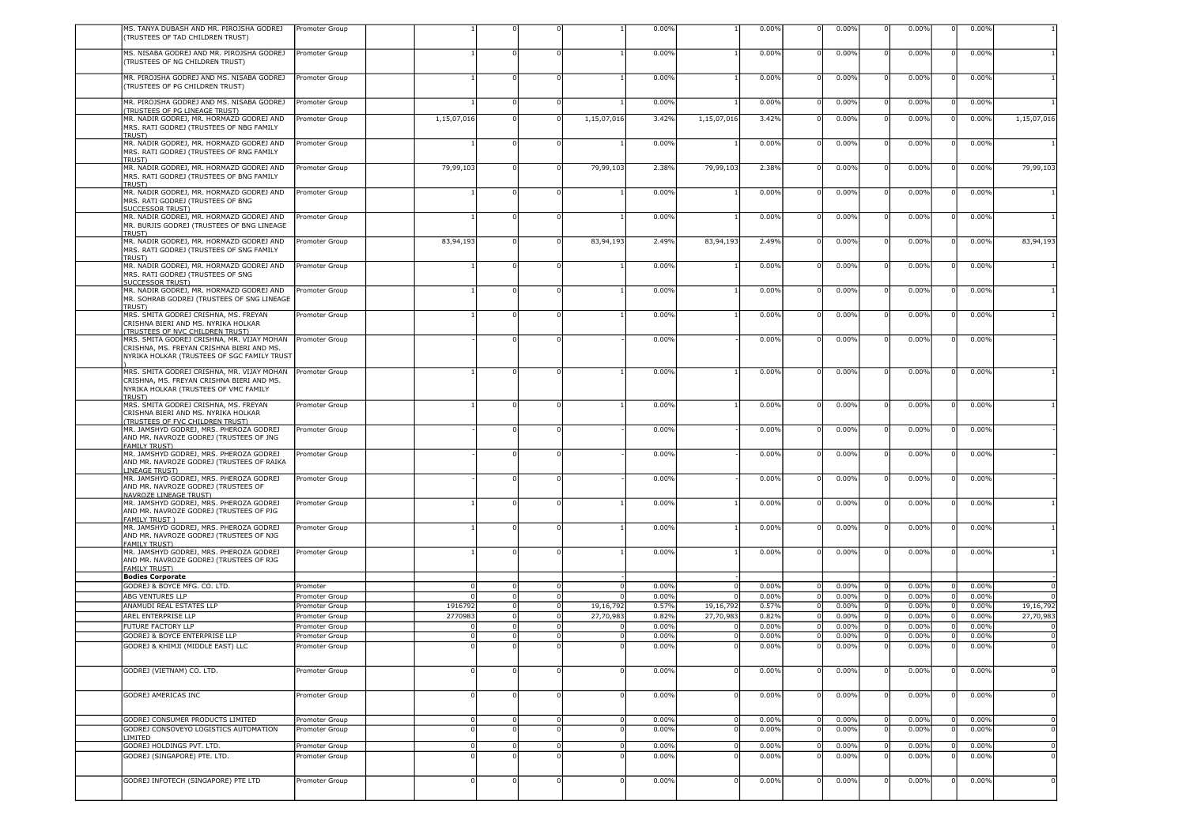| MS. TANYA DUBASH AND MR. PIROJSHA GODREJ<br>(TRUSTEES OF TAD CHILDREN TRUST)                                                 | Promoter Group |             |          |   |             | 0.00% |             | 0.00% |                | 0.00% |             | 0.00% | 0.00%             |                |
|------------------------------------------------------------------------------------------------------------------------------|----------------|-------------|----------|---|-------------|-------|-------------|-------|----------------|-------|-------------|-------|-------------------|----------------|
|                                                                                                                              |                |             |          |   |             |       |             |       |                |       |             |       |                   |                |
| MS. NISABA GODREJ AND MR. PIROJSHA GODREJ<br>TRUSTEES OF NG CHILDREN TRUST)                                                  | Promoter Group |             |          |   |             | 0.00% |             | 0.00% |                | 0.00% |             | 0.00% | 0.00%             |                |
| MR. PIROJSHA GODREJ AND MS. NISABA GODREJ                                                                                    | Promoter Group |             |          |   |             | 0.00% |             | 0.00% |                | 0.00% | $\Omega$    | 0.00% | 0.00%             |                |
| TRUSTEES OF PG CHILDREN TRUST)                                                                                               |                |             |          |   |             |       |             |       |                |       |             |       |                   |                |
| MR. PIROJSHA GODREJ AND MS. NISABA GODREJ<br>(TRUSTEES OF PG LINEAGE TRUST)                                                  | Promoter Group |             |          |   |             | 0.00% |             | 0.00% |                | 0.00% |             | 0.00% | 0.00%             |                |
| MR. NADIR GODREJ, MR. HORMAZD GODREJ AND<br>MRS. RATI GODREJ (TRUSTEES OF NBG FAMILY                                         | Promoter Group | 1,15,07,016 |          |   | 1,15,07,016 | 3.42% | 1,15,07,016 | 3.42% |                | 0.00% |             | 0.00% | 0.00%             | 1,15,07,016    |
| <b>TRUST)</b><br>MR. NADIR GODREJ, MR. HORMAZD GODREJ AND                                                                    | Promoter Group |             |          |   |             | 0.00% |             | 0.00% |                | 0.00% | - 0         | 0.00% | 0.00%             |                |
| MRS. RATI GODREJ (TRUSTEES OF RNG FAMILY<br>TRUST)                                                                           |                |             |          |   |             |       |             |       |                |       |             |       |                   |                |
| MR. NADIR GODREJ, MR. HORMAZD GODREJ AND<br>MRS. RATI GODREJ (TRUSTEES OF BNG FAMILY<br>TRUST)                               | Promoter Group | 79,99,103   |          |   | 79,99,103   | 2.38% | 79,99,103   | 2.38% |                | 0.00% |             | 0.00% | 0.00%             | 79,99,103      |
| MR. NADIR GODREJ, MR. HORMAZD GODREJ AND<br>MRS. RATI GODREJ (TRUSTEES OF BNG<br><u>SUCCESSOR TRUST)</u>                     | Promoter Group |             |          |   |             | 0.00% |             | 0.00% |                | 0.00% |             | 0.00% | 0.00%             |                |
| MR. NADIR GODREJ, MR. HORMAZD GODREJ AND<br>MR. BURJIS GODREJ (TRUSTEES OF BNG LINEAGE                                       | Promoter Group |             |          |   |             | 0.00% |             | 0.00% |                | 0.00% |             | 0.00% | 0.00%             |                |
| <b>TRUST)</b><br>MR. NADIR GODREJ, MR. HORMAZD GODREJ AND                                                                    | Promoter Group | 83,94,193   |          |   | 83,94,193   | 2.49% | 83,94,193   | 2.49% |                | 0.00% |             | 0.00% | 0.00%             | 83,94,193      |
| MRS. RATI GODREJ (TRUSTEES OF SNG FAMILY<br><b>TRUST)</b>                                                                    |                |             |          |   |             |       |             |       |                |       |             |       |                   |                |
| MR. NADIR GODREJ, MR. HORMAZD GODREJ AND<br>MRS. RATI GODREJ (TRUSTEES OF SNG<br><b>SUCCESSOR TRUST)</b>                     | Promoter Group |             |          |   |             | 0.00% |             | 0.00% |                | 0.00% | - 0         | 0.00% | 0.00%             |                |
| MR. NADIR GODREJ, MR. HORMAZD GODREJ AND<br>MR. SOHRAB GODREJ (TRUSTEES OF SNG LINEAGE                                       | Promoter Group |             |          |   |             | 0.00% |             | 0.00% |                | 0.00% | - 0         | 0.00% | 0.00%             |                |
| TRUST)<br>MRS. SMITA GODREJ CRISHNA, MS. FREYAN<br>CRISHNA BIERI AND MS. NYRIKA HOLKAR                                       | Promoter Group |             |          |   |             | 0.00% |             | 0.00% |                | 0.00% | $\Omega$    | 0.00% | 0.00%             |                |
| <u>TRUSTEES OF NVC CHILDREN TRUST)</u><br>MRS. SMITA GODREJ CRISHNA, MR. VIJAY MOHAN                                         | Promoter Group |             |          |   |             | 0.00% |             | 0.00% |                | 0.00% | $\mathbf 0$ | 0.00% | 0.00%             |                |
| CRISHNA, MS. FREYAN CRISHNA BIERI AND MS.<br>NYRIKA HOLKAR (TRUSTEES OF SGC FAMILY TRUST                                     |                |             |          |   |             |       |             |       |                |       |             |       |                   |                |
| MRS. SMITA GODREJ CRISHNA, MR. VIJAY MOHAN                                                                                   | Promoter Group |             |          |   |             | 0.00% |             | 0.00% |                | 0.00% | $^{\circ}$  | 0.00% | 0.00%<br>$\Omega$ |                |
| CRISHNA, MS. FREYAN CRISHNA BIERI AND MS.<br>NYRIKA HOLKAR (TRUSTEES OF VMC FAMILY<br><b>TRUST)</b>                          |                |             |          |   |             |       |             |       |                |       |             |       |                   |                |
| MRS. SMITA GODREJ CRISHNA, MS. FREYAN<br>CRISHNA BIERI AND MS. NYRIKA HOLKAR                                                 | Promoter Group |             |          |   |             | 0.00% |             | 0.00% |                | 0.00% |             | 0.00% | 0.00%             |                |
| <b>TRUSTEES OF FVC CHILDREN TRUST)</b><br>MR. JAMSHYD GODREJ, MRS. PHEROZA GODREJ<br>AND MR. NAVROZE GODREJ (TRUSTEES OF JNG | Promoter Group |             |          |   |             | 0.00% |             | 0.00% |                | 0.00% |             | 0.00% | 0.00%             |                |
| <b>FAMILY TRUST)</b><br>MR. JAMSHYD GODREJ, MRS. PHEROZA GODREJ<br>AND MR. NAVROZE GODREJ (TRUSTEES OF RAIKA                 | Promoter Group |             |          |   |             | 0.00% |             | 0.00% |                | 0.00% |             | 0.00% | 0.00%             |                |
| <b>LINEAGE TRUST)</b><br>MR. JAMSHYD GODREJ, MRS. PHEROZA GODREJ<br>AND MR. NAVROZE GODREJ (TRUSTEES OF                      | Promoter Group |             |          |   |             | 0.00% |             | 0.00% |                | 0.00% |             | 0.00% | 0.00%             |                |
| NAVROZE LINEAGE TRUST)<br>MR. JAMSHYD GODREJ, MRS. PHEROZA GODREJ                                                            | Promoter Group |             |          |   |             | 0.00% |             | 0.00% |                | 0.00% | $\mathbf 0$ | 0.00% | 0.00%             |                |
| AND MR. NAVROZE GODREJ (TRUSTEES OF PJG<br><b>FAMILY TRUST )</b>                                                             |                |             |          |   |             |       |             |       |                |       |             |       |                   |                |
| MR. JAMSHYD GODREJ, MRS. PHEROZA GODREJ<br>AND MR. NAVROZE GODREJ (TRUSTEES OF NJG<br><b>FAMILY TRUST)</b>                   | Promoter Group |             |          |   |             | 0.00% |             | 0.00% |                | 0.00% |             | 0.00% | 0.00%             |                |
| MR. JAMSHYD GODREJ, MRS. PHEROZA GODREJ<br>AND MR. NAVROZE GODREJ (TRUSTEES OF RJG                                           | Promoter Group |             |          |   |             | 0.00% |             | 0.00% |                | 0.00% |             | 0.00% | 0.00%             |                |
| <b>FAMILY TRUST)</b><br><b>Bodies Corporate</b>                                                                              |                |             |          |   |             |       |             |       |                |       |             |       |                   |                |
| GODREJ & BOYCE MFG. CO. LTD.                                                                                                 | Promoter       |             |          |   | $\Omega$    | 0.00% |             | 0.00% |                | 0.00% |             | 0.00% | 0.00%             |                |
| ABG VENTURES LLP                                                                                                             | Promoter Group |             |          |   | $\Omega$    | 0.00% |             | 0.00% |                | 0.00% |             | 0.00% | 0.00%             |                |
| ANAMUDI REAL ESTATES LLP                                                                                                     | Promoter Group | 1916792     |          |   | 19,16,792   | 0.57% | 19,16,792   | 0.57% | C              | 0.00% | $\Omega$    | 0.00% | 0.00%             | 19,16,792      |
|                                                                                                                              |                |             |          |   |             |       |             |       |                |       |             |       |                   | 27,70,983      |
| AREL ENTERPRISE LLP                                                                                                          | Promoter Group | 2770983     |          |   | 27,70,983   | 0.82% | 27,70,983   | 0.82% |                | 0.00% | $\mathbf 0$ | 0.00% | 0.00%             |                |
| FUTURE FACTORY LLP                                                                                                           | Promoter Group |             |          |   |             | 0.00% |             | 0.00% |                | 0.00% |             | 0.00% | 0.00%             |                |
| GODREJ & BOYCE ENTERPRISE LLP                                                                                                | Promoter Group |             |          |   | 0           | 0.00% |             | 0.00% | $\Omega$       | 0.00% | $\mathbf 0$ | 0.00% | 0.00%             | $\overline{0}$ |
| GODREJ & KHIMJI (MIDDLE EAST) LLC                                                                                            | Promoter Group |             |          |   | $\mathbf 0$ | 0.00% |             | 0.00% |                | 0.00% | $\Omega$    | 0.00% | 0.00%             |                |
| GODREJ (VIETNAM) CO. LTD.                                                                                                    | Promoter Group |             |          |   |             | 0.00% |             | 0.00% |                | 0.00% |             | 0.00% | 0.00%             |                |
|                                                                                                                              |                |             |          |   |             |       |             |       |                |       |             |       |                   |                |
| GODREJ AMERICAS INC                                                                                                          | Promoter Group |             |          |   |             | 0.00% |             | 0.00% |                | 0.00% |             | 0.00% | 0.00%             | $\Omega$       |
| <b>GODREJ CONSUMER PRODUCTS LIMITED</b>                                                                                      | Promoter Group | $\Omega$    | 0        |   | $\mathbf 0$ | 0.00% | $\Omega$    | 0.00% | C              | 0.00% |             | 0.00% | 0.00%             | $\Omega$       |
| GODREJ CONSOVEYO LOGISTICS AUTOMATION                                                                                        | Promoter Group |             |          |   |             | 0.00% |             | 0.00% |                | 0.00% |             | 0.00% | 0.00%             | $\mathbf 0$    |
| <b>IMITED</b>                                                                                                                |                |             |          |   |             |       |             |       |                |       |             |       |                   |                |
| GODREJ HOLDINGS PVT. LTD.                                                                                                    | Promoter Group | 0           | $\Omega$ | C | $\mathbf 0$ | 0.00% | $^{\circ}$  | 0.00% | $\overline{0}$ | 0.00% | $\mathbf 0$ | 0.00% | 0.00%             | $\overline{0}$ |
| GODREJ (SINGAPORE) PTE. LTD.                                                                                                 | Promoter Group |             |          |   |             | 0.00% |             | 0.00% |                | 0.00% | $\Omega$    | 0.00% | 0.00%             | $\Omega$       |
| GODREJ INFOTECH (SINGAPORE) PTE LTD                                                                                          | Promoter Group |             |          |   |             | 0.00% |             | 0.00% |                | 0.00% |             | 0.00% | 0.00%             | $\Omega$       |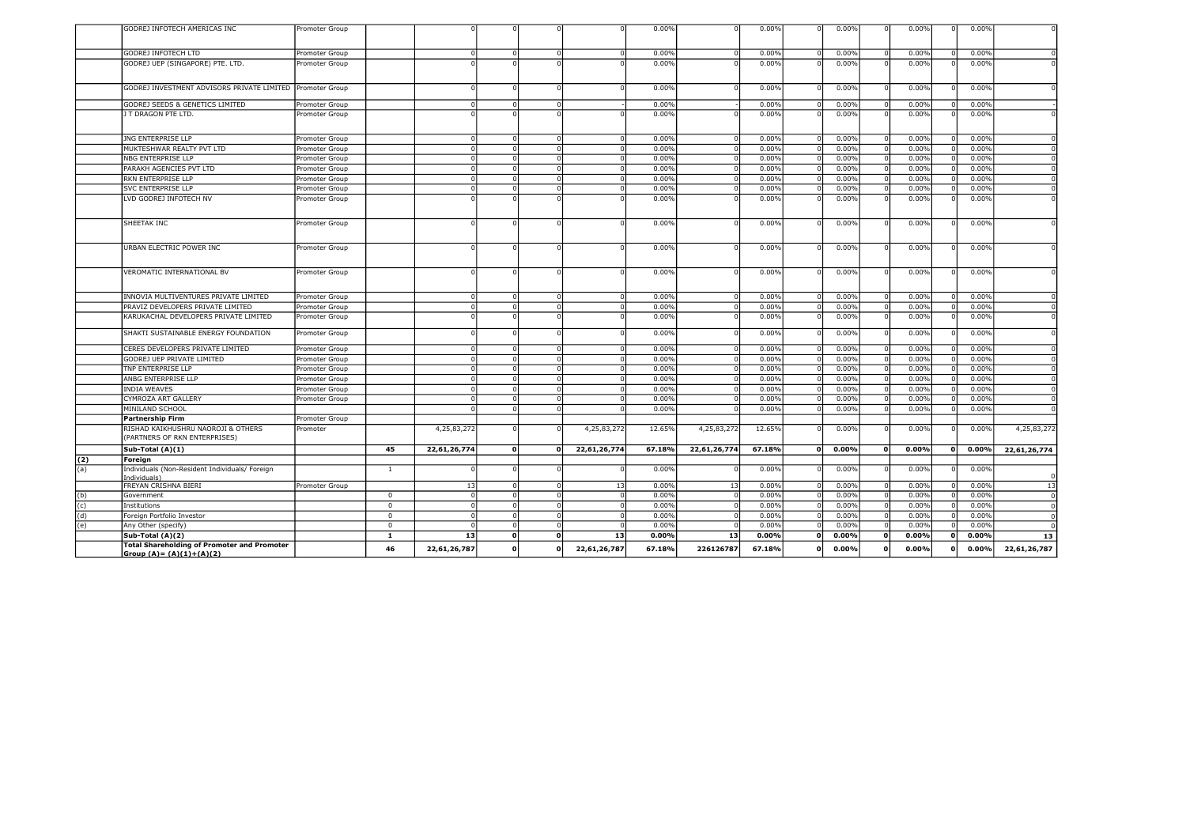|            | GODREJ INFOTECH AMERICAS INC                              | Promoter Group |                |              |              |                            | 0.00%          | $\Omega$     | 0.00%  |              | 0.00%          |              | 0.00%          |   | 0.00%          | οI             |
|------------|-----------------------------------------------------------|----------------|----------------|--------------|--------------|----------------------------|----------------|--------------|--------|--------------|----------------|--------------|----------------|---|----------------|----------------|
|            |                                                           |                |                |              |              |                            |                |              |        |              |                |              |                |   |                |                |
|            | <b>GODREJ INFOTECH LTD</b>                                | Promoter Group |                |              |              | $\Omega$                   | 0.00%          | $\Omega$     | 0.00%  |              | 0.00%          |              | 0.00%          |   | 0.00%          |                |
|            | GODREJ UEP (SINGAPORE) PTE. LTD.                          | Promoter Group |                |              |              |                            | 0.00%          |              | 0.00%  |              | 0.00%          |              | 0.00%          |   | 0.00%          |                |
|            |                                                           |                |                |              |              |                            |                |              |        |              |                |              |                |   |                |                |
|            | GODREJ INVESTMENT ADVISORS PRIVATE LIMITED Promoter Group |                |                |              |              |                            | 0.00%          |              | 0.00%  |              | 0.00%          |              | 0.00%          |   | 0.00%          |                |
|            | <b>GODREJ SEEDS &amp; GENETICS LIMITED</b>                | Promoter Group |                | $\Omega$     | $\Omega$     |                            | 0.00%          |              | 0.00%  |              | 0.00%          |              | 0.00%          |   | 0.00%          |                |
|            | J T DRAGON PTE LTD.                                       | Promoter Group |                |              |              |                            | 0.00%          |              | 0.00%  |              | 0.00%          |              | 0.00%          |   | 0.00%          |                |
|            |                                                           |                |                |              |              |                            |                |              |        |              |                |              |                |   |                |                |
|            | <b>JNG ENTERPRISE LLP</b>                                 | Promoter Group |                |              |              |                            | 0.00%          | $\Omega$     | 0.00%  |              | 0.00%          |              | 0.00%          |   | 0.00%          |                |
|            | MUKTESHWAR REALTY PVT LTD                                 | Promoter Group |                |              |              | $\Omega$                   | 0.00%          | $\Omega$     | 0.00%  |              | 0.00%          |              | 0.00%          |   | 0.00%          | 0              |
|            | NBG ENTERPRISE LLP                                        | Promoter Group |                |              |              | $\Omega$                   | 0.00%          | $\Omega$     | 0.00%  |              | 0.00%          |              | 0.00%          |   | 0.00%          | ol             |
|            | PARAKH AGENCIES PVT LTD                                   | Promoter Group |                |              |              | $\Omega$                   | 0.00%          | $\Omega$     | 0.00%  |              | 0.00%          |              | 0.00%          |   | 0.00%          | - O I          |
|            | RKN ENTERPRISE LLP                                        | Promoter Group |                |              |              | $\Omega$                   | 0.00%          |              | 0.00%  |              | 0.00%          |              | 0.00%          |   | 0.00%          | οI             |
|            | <b>SVC ENTERPRISE LLP</b>                                 | Promoter Group |                |              |              | $\Omega$                   | 0.00%          |              | 0.00%  |              | 0.00%          |              | 0.00%          |   | 0.00%          | 0              |
|            | LVD GODREJ INFOTECH NV                                    | Promoter Group |                |              |              |                            | 0.00%          |              | 0.00%  |              | 0.00%          |              | 0.00%          |   | 0.00%          | - nl           |
|            |                                                           |                |                |              |              |                            |                |              |        |              |                |              |                |   |                |                |
|            | SHEETAK INC                                               | Promoter Group |                |              |              |                            | 0.00%          | $\Omega$     | 0.00%  |              | 0.00%          |              | 0.00%          |   | 0.00%          |                |
|            |                                                           |                |                |              |              |                            |                |              |        |              |                |              |                |   |                |                |
|            |                                                           |                |                |              |              |                            |                |              |        |              |                |              |                |   |                |                |
|            | URBAN ELECTRIC POWER INC                                  | Promoter Group |                |              |              |                            | 0.00%          | O            | 0.00%  |              | 0.00%          |              | 0.00%          |   | 0.00%          |                |
|            |                                                           |                |                |              |              |                            |                |              |        |              |                |              |                |   |                |                |
|            | VEROMATIC INTERNATIONAL BV                                | Promoter Group |                |              |              |                            | 0.00%          |              | 0.00%  |              | 0.00%          |              | 0.00%          |   | 0.00%          |                |
|            |                                                           |                |                |              |              |                            |                |              |        |              |                |              |                |   |                |                |
|            |                                                           |                |                | $\sqrt{2}$   |              |                            |                | $\Omega$     |        |              |                |              |                |   |                |                |
|            | INNOVIA MULTIVENTURES PRIVATE LIMITED                     | Promoter Group |                |              |              | $\Omega$<br>$\Omega$       | 0.00%<br>0.00% | $\Omega$     | 0.00%  |              | 0.00%<br>0.00% |              | 0.00%<br>0.00% |   | 0.00%<br>0.00% | - 0<br>0       |
|            | PRAVIZ DEVELOPERS PRIVATE LIMITED                         | Promoter Group |                |              |              |                            |                | $\Omega$     | 0.00%  |              |                |              |                |   |                |                |
|            | KARUKACHAL DEVELOPERS PRIVATE LIMITED                     | Promoter Group |                |              |              |                            | 0.00%          |              | 0.00%  |              | 0.00%          |              | 0.00%          |   | 0.00%          | οI             |
|            | SHAKTI SUSTAINABLE ENERGY FOUNDATION                      | Promoter Group |                |              |              |                            | 0.00%          | $\Omega$     | 0.00%  |              | 0.00%          |              | 0.00%          |   | 0.00%          | ΩI             |
|            | CERES DEVELOPERS PRIVATE LIMITED                          | Promoter Group |                |              |              |                            | 0.00%          | C            | 0.00%  |              | 0.00%          |              | 0.00%          |   | 0.00%          | 0              |
|            | GODREJ UEP PRIVATE LIMITED                                | Promoter Group |                |              |              | $\Omega$                   | 0.00%          | $\Omega$     | 0.00%  |              | 0.00%          |              | 0.00%          |   | 0.00%          | - ol           |
|            | TNP ENTERPRISE LLP                                        | Promoter Group |                | $\sqrt{ }$   |              | $\overline{0}$<br>$\Omega$ | 0.00%          | $\Omega$     | 0.00%  |              | 0.00%          |              | 0.00%          |   | 0.00%          | - O I          |
|            | ANBG ENTERPRISE LLP                                       | Promoter Group |                |              |              |                            | 0.00%          |              | 0.00%  |              | 0.00%          |              | 0.00%          |   | 0.00%          | 0              |
|            | <b>INDIA WEAVES</b>                                       | Promoter Group |                |              |              |                            | 0.00%          |              | 0.00%  |              | 0.00%          |              | 0.00%          |   | 0.00%          | 0              |
|            | CYMROZA ART GALLERY                                       | Promoter Group |                |              |              | $\Omega$                   | 0.00%          |              | 0.00%  |              | 0.00%          |              | 0.00%          |   | 0.00%          | οI             |
|            | MINILAND SCHOOL                                           |                |                |              |              | $\Omega$                   | 0.00%          |              | 0.00%  |              | 0.00%          |              | 0.00%          |   | 0.00%          |                |
|            | Partnership Firm                                          | Promoter Group |                |              |              |                            |                |              |        |              |                |              |                |   |                |                |
|            | RISHAD KAIKHUSHRU NAOROJI & OTHERS                        | Promoter       |                | 4,25,83,272  |              | 4,25,83,272                | 12.65%         | 4,25,83,272  | 12.65% |              | 0.00%          |              | 0.00%          |   | 0.00%          | 4,25,83,272    |
|            | (PARTNERS OF RKN ENTERPRISES)                             |                |                |              |              |                            |                |              |        |              |                |              |                |   |                |                |
|            | Sub-Total (A)(1)                                          |                | 45             | 22,61,26,774 | ol           | 22,61,26,774<br>O          | 67.18%         | 22,61,26,774 | 67.18% | $\mathbf{0}$ | 0.00%          | $\mathbf{0}$ | 0.00%          | O | $0.00\%$       | 22,61,26,774   |
| (2)        | Foreign                                                   |                |                |              |              |                            |                |              |        |              |                |              |                |   |                |                |
| (a)        | Individuals (Non-Resident Individuals/ Foreign            |                | $\mathbf{1}$   |              |              |                            | 0.00%          |              | 0.00%  |              | 0.00%          |              | 0.00%          |   | 0.00%          |                |
|            | (Individuals)<br>FREYAN CRISHNA BIERI                     | Promoter Group |                | 13           |              | 13                         | 0.00%          | 13           | 0.00%  |              | 0.00%          |              | 0.00%          |   | 0.00%          | 13             |
|            | Government                                                |                | $\mathbf 0$    | $\Omega$     |              | $\Omega$                   | 0.00%          | $\Omega$     | 0.00%  |              | 0.00%          |              | 0.00%          |   | 0.00%          |                |
| (b)        | Institutions                                              |                | $\overline{0}$ | $\Omega$     | $\Omega$     | $\Omega$<br>$\Omega$       | 0.00%          | $\Omega$     | 0.00%  |              | 0.00%          |              | 0.00%          |   | 0.00%          | - o l<br>- o l |
| (c)<br>(d) | Foreign Portfolio Investor                                |                | $\mathbf 0$    | n            |              | $\Omega$                   | 0.00%          | $\Omega$     | 0.00%  |              | 0.00%          |              | 0.00%          |   | 0.00%          | -o I           |
| (e)        | Any Other (specify)                                       |                | $\Omega$       |              |              | $\Omega$                   | 0.00%          |              | 0.00%  |              | 0.00%          |              | 0.00%          |   | 0.00%          | $\Omega$       |
|            | Sub-Total (A)(2)                                          |                | $\mathbf{1}$   | 13           | $\mathbf{0}$ | 13<br>O                    | 0.00%          | 13           | 0.00%  | $\mathbf{0}$ | 0.00%          |              | 0.00%          |   | 0.00%          | 13             |
|            | <b>Total Shareholding of Promoter and Promoter</b>        |                |                |              |              |                            |                |              |        |              |                |              |                |   |                |                |
|            | Group $(A) = (A)(1)+(A)(2)$                               |                | 46             | 22,61,26,787 | O            | 22,61,26,787<br>O          | 67.18%         | 226126787    | 67.18% | $\Omega$     | 0.00%          |              | 0.00%          |   | 0.00%          | 22,61,26,787   |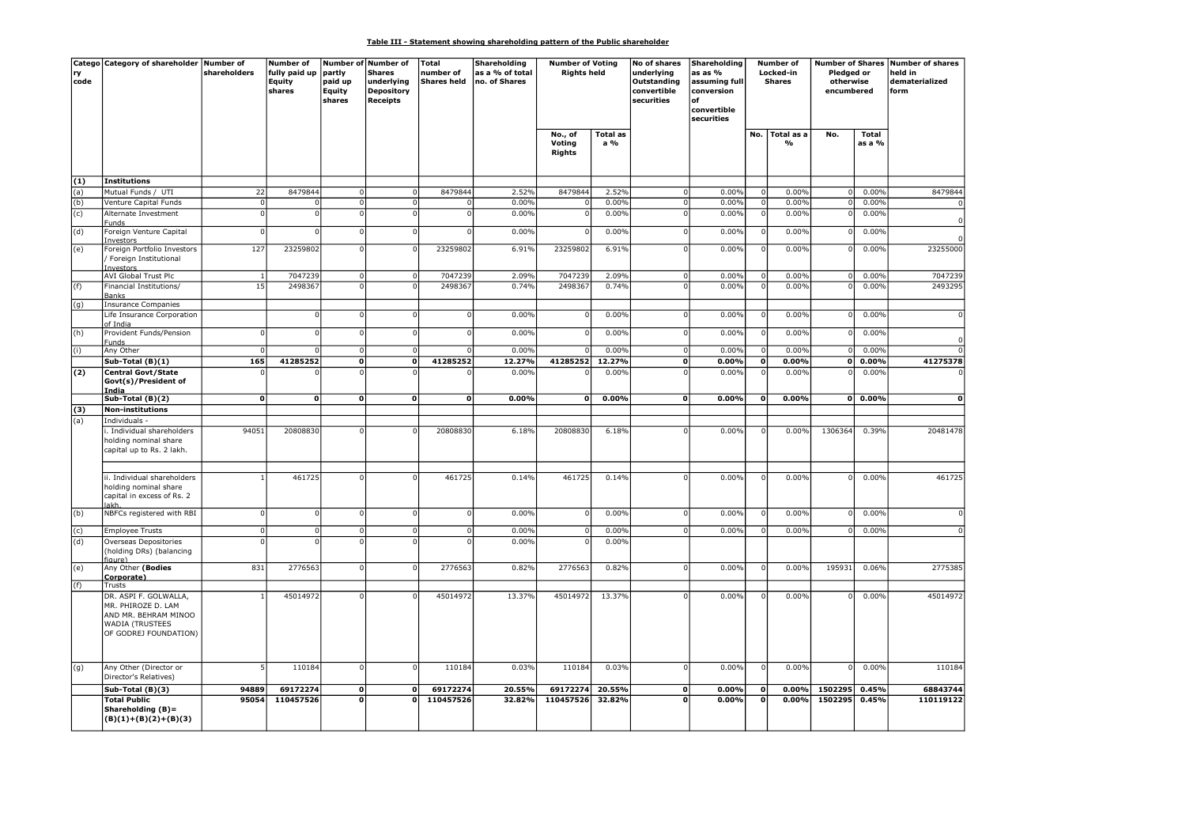# Table III - Statement showing shareholding pattern of the Public shareholder

| code | Catego Category of shareholder Number of                                                                               | shareholders   | <b>Number of</b><br>fully paid up<br>Equity<br>shares | partly<br>paid up<br>Equity<br>shares | Number of Number of<br><b>Shares</b><br>underlying<br><b>Depository</b><br><b>Receipts</b> | Total<br>number of<br><b>Shares held</b> | Shareholding<br>as a % of total<br>no. of Shares | <b>Number of Voting</b><br><b>Rights held</b> |                        | No of shares<br>underlying<br>Outstanding<br>convertible<br>securities | Shareholding<br>as as %<br>assuming full<br>conversion<br>nf<br>convertible<br>securities |             | Number of<br>Locked-in<br><b>Shares</b> | Pledged or<br>otherwise<br>encumbered |                        | Number of Shares Number of shares<br>held in<br>dematerialized<br>form |
|------|------------------------------------------------------------------------------------------------------------------------|----------------|-------------------------------------------------------|---------------------------------------|--------------------------------------------------------------------------------------------|------------------------------------------|--------------------------------------------------|-----------------------------------------------|------------------------|------------------------------------------------------------------------|-------------------------------------------------------------------------------------------|-------------|-----------------------------------------|---------------------------------------|------------------------|------------------------------------------------------------------------|
|      |                                                                                                                        |                |                                                       |                                       |                                                                                            |                                          |                                                  | No., of<br>Voting<br><b>Rights</b>            | <b>Total as</b><br>a % |                                                                        |                                                                                           | No.         | Total as a<br>%                         | No.                                   | <b>Total</b><br>as a % |                                                                        |
| (1)  | Institutions                                                                                                           |                |                                                       |                                       |                                                                                            |                                          |                                                  |                                               |                        |                                                                        |                                                                                           |             |                                         |                                       |                        |                                                                        |
| (a)  | Mutual Funds / UTI                                                                                                     | 22             | 8479844                                               | 0                                     | $\Omega$                                                                                   | 8479844                                  | 2.52%                                            | 8479844                                       | 2.52%                  | 0                                                                      | 0.00%                                                                                     | $\Omega$    | 0.00%                                   | $\overline{0}$                        | 0.00%                  | 8479844                                                                |
| (b)  | Venture Capital Funds                                                                                                  | $\overline{0}$ |                                                       | ol                                    | $\Omega$                                                                                   |                                          | 0.00%                                            | $\Omega$                                      | 0.00%                  | $\Omega$                                                               | 0.00%                                                                                     | $\Omega$    | 0.00%                                   | $\overline{0}$                        | 0.00%                  |                                                                        |
| (c)  | Alternate Investment<br>Funds                                                                                          | $\Omega$       |                                                       | $\mathbf{0}$                          |                                                                                            |                                          | 0.00%                                            | $\Omega$                                      | 0.00%                  |                                                                        | 0.00%                                                                                     |             | 0.00%                                   | $\Omega$                              | 0.00%                  |                                                                        |
| (d)  | Foreign Venture Capital<br>Investors                                                                                   | 0              | $\Omega$                                              | 0                                     | $\Omega$                                                                                   |                                          | 0.00%                                            | $\Omega$                                      | 0.00%                  | $\Omega$                                                               | 0.00%                                                                                     |             | 0.00%                                   |                                       | 0.00%                  |                                                                        |
| (e)  | Foreign Portfolio Investors<br>/ Foreign Institutional<br>Investors                                                    | 127            | 23259802                                              | 0                                     | $\Omega$                                                                                   | 23259802                                 | 6.91%                                            | 23259802                                      | 6.91%                  | $\Omega$                                                               | 0.00%                                                                                     |             | 0.00%                                   | $\Omega$                              | 0.00%                  | 23255000                                                               |
|      | <b>AVI Global Trust Plc</b>                                                                                            | $\mathbf{1}$   | 7047239                                               | $\mathbf 0$                           | $\Omega$                                                                                   | 7047239                                  | 2.09%                                            | 7047239                                       | 2.09%                  | $\Omega$                                                               | 0.00%                                                                                     | -C          | 0.00%                                   | $\overline{0}$<br>$\Omega$            | 0.00%                  | 7047239                                                                |
| (f)  | Financial Institutions/<br>Banks                                                                                       | 15             | 2498367                                               | $\overline{0}$                        |                                                                                            | 2498367                                  | 0.74%                                            | 2498367                                       | 0.74%                  |                                                                        | 0.00%                                                                                     |             | 0.00%                                   |                                       | 0.00%                  | 2493295                                                                |
| (g)  | Insurance Companies<br>Life Insurance Corporation                                                                      |                |                                                       | οI                                    | $\Omega$                                                                                   | $\Omega$                                 | 0.00%                                            | $\overline{0}$                                | 0.00%                  | $\Omega$                                                               | 0.00%                                                                                     |             | 0.00%                                   |                                       | 0.00%                  |                                                                        |
| (h)  | of India<br>Provident Funds/Pension                                                                                    | οI             | $\Omega$                                              | -o I                                  | $\Omega$                                                                                   | $\Omega$                                 | 0.00%                                            | $\overline{0}$                                | 0.00%                  | $\Omega$                                                               | 0.00%                                                                                     |             | 0.00%                                   | $\Omega$                              | 0.00%                  |                                                                        |
| (i)  | Funds<br>Any Other                                                                                                     | $\mathbf 0$    |                                                       | 0                                     | $\overline{0}$                                                                             | $\Omega$                                 | 0.00%                                            | $\overline{0}$                                | 0.00%                  | 0                                                                      | 0.00%                                                                                     | $\Omega$    | 0.00%                                   | $\overline{0}$                        | 0.00%                  |                                                                        |
|      | $Sub-Total(B)(1)$                                                                                                      | 165            | 41285252                                              | $\overline{\mathfrak{o}}$             | $\mathbf{0}$                                                                               | 41285252                                 | 12.27%                                           | 41285252                                      | 12.27%                 | 0                                                                      | 0.00%                                                                                     | $\mathbf 0$ | 0.00%                                   | ol                                    | 0.00%                  | 41275378                                                               |
| (2)  | Central Govt/State<br>Govt(s)/President of                                                                             | $\Omega$       |                                                       | $\Omega$                              |                                                                                            |                                          | 0.00%                                            |                                               | 0.00%                  |                                                                        | 0.00%                                                                                     |             | 0.00%                                   | $\Omega$                              | 0.00%                  |                                                                        |
|      | India<br>Sub-Total (B)(2)                                                                                              | οl             | $\mathbf{o}$                                          | οl                                    | $\mathbf{0}$                                                                               | ΩI                                       | 0.00%                                            | οl                                            | 0.00%                  | ٥l                                                                     | 0.00%                                                                                     | $\mathbf 0$ | 0.00%                                   |                                       | $0 0.00\%$             | $\mathbf{0}$                                                           |
| (3)  | Non-institutions                                                                                                       |                |                                                       |                                       |                                                                                            |                                          |                                                  |                                               |                        |                                                                        |                                                                                           |             |                                         |                                       |                        |                                                                        |
| (a)  | Individuals -                                                                                                          |                |                                                       |                                       |                                                                                            |                                          |                                                  |                                               |                        |                                                                        |                                                                                           |             |                                         |                                       |                        |                                                                        |
|      | i. Individual shareholders<br>holding nominal share<br>capital up to Rs. 2 lakh.                                       | 94051          | 20808830                                              | -ol                                   |                                                                                            | 20808830                                 | 6.18%                                            | 20808830                                      | 6.18%                  |                                                                        | 0.00%                                                                                     | C           | 0.00%                                   | 1306364                               | 0.39%                  | 20481478                                                               |
|      | ii. Individual shareholders<br>holding nominal share<br>capital in excess of Rs. 2<br>lakh                             |                | 461725                                                | 0                                     | $\Omega$                                                                                   | 461725                                   | 0.14%                                            | 461725                                        | 0.14%                  | $\Omega$                                                               | 0.00%                                                                                     |             | 0.00%                                   |                                       | 0.00%                  | 461725                                                                 |
| (b)  | NBFCs registered with RBI                                                                                              | $\mathbf 0$    | $\Omega$                                              | 0                                     | $\Omega$                                                                                   | $\Omega$                                 | 0.00%                                            | $\overline{0}$                                | 0.00%                  | $\Omega$                                                               | 0.00%                                                                                     |             | 0.00%                                   | $\Omega$                              | 0.00%                  |                                                                        |
| (c)  | <b>Employee Trusts</b>                                                                                                 | $\overline{0}$ | $\Omega$                                              | 0                                     | $\Omega$                                                                                   | $\Omega$                                 | 0.00%                                            | $\overline{0}$                                | 0.00%                  | $\mathbf{0}$                                                           | 0.00%                                                                                     |             | 0.00%                                   | $\Omega$                              | 0.00%                  |                                                                        |
| (d)  | Overseas Depositories<br>(holding DRs) (balancing                                                                      | $\Omega$       |                                                       | $\mathbf{0}$                          |                                                                                            |                                          | 0.00%                                            |                                               | 0.00%                  |                                                                        |                                                                                           |             |                                         |                                       |                        |                                                                        |
| (e)  | figure)<br>Any Other (Bodies<br>Corporate)                                                                             | 831            | 2776563                                               | -o I                                  | $\Omega$                                                                                   | 2776563                                  | 0.82%                                            | 2776563                                       | 0.82%                  | $\Omega$                                                               | 0.00%                                                                                     | O           | 0.00%                                   | 195931                                | 0.06%                  | 2775385                                                                |
| (f)  | Trusts                                                                                                                 |                |                                                       |                                       |                                                                                            |                                          |                                                  |                                               |                        |                                                                        |                                                                                           |             |                                         |                                       |                        |                                                                        |
|      | DR. ASPI F. GOLWALLA,<br>MR. PHIROZE D. LAM<br>AND MR. BEHRAM MINOO<br><b>WADIA (TRUSTEES</b><br>OF GODREJ FOUNDATION) |                | 45014972                                              | $\Omega$                              |                                                                                            | 45014972                                 | 13.37%                                           | 45014972                                      | 13.37%                 |                                                                        | 0.00%                                                                                     |             | 0.00%                                   |                                       | 0.00%                  | 45014972                                                               |
| (g)  | Any Other (Director or<br>Director's Relatives)                                                                        | 5              | 110184                                                | 0                                     | $\Omega$                                                                                   | 110184                                   | 0.03%                                            | 110184                                        | 0.03%                  | $\Omega$                                                               | 0.00%                                                                                     |             | 0.00%                                   | $\Omega$                              | 0.00%                  | 110184                                                                 |
|      | Sub-Total (B)(3)                                                                                                       | 94889          | 69172274                                              | 0                                     | $\mathbf{o}$                                                                               | 69172274                                 | 20.55%                                           | 69172274                                      | 20.55%                 | $\mathbf 0$                                                            | 0.00%                                                                                     | $\Omega$    | 0.00%                                   | 1502295                               | 0.45%                  | 68843744                                                               |
|      | <b>Total Public</b><br>Shareholding (B)=<br>$(B)(1)+(B)(2)+(B)(3)$                                                     | 95054          | 110457526                                             | $\overline{0}$                        | $\Omega$                                                                                   | 110457526                                | 32.82%                                           | 110457526                                     | 32.82%                 | O                                                                      | 0.00%                                                                                     | $\mathbf 0$ | 0.00%                                   | 1502295                               | 0.45%                  | 110119122                                                              |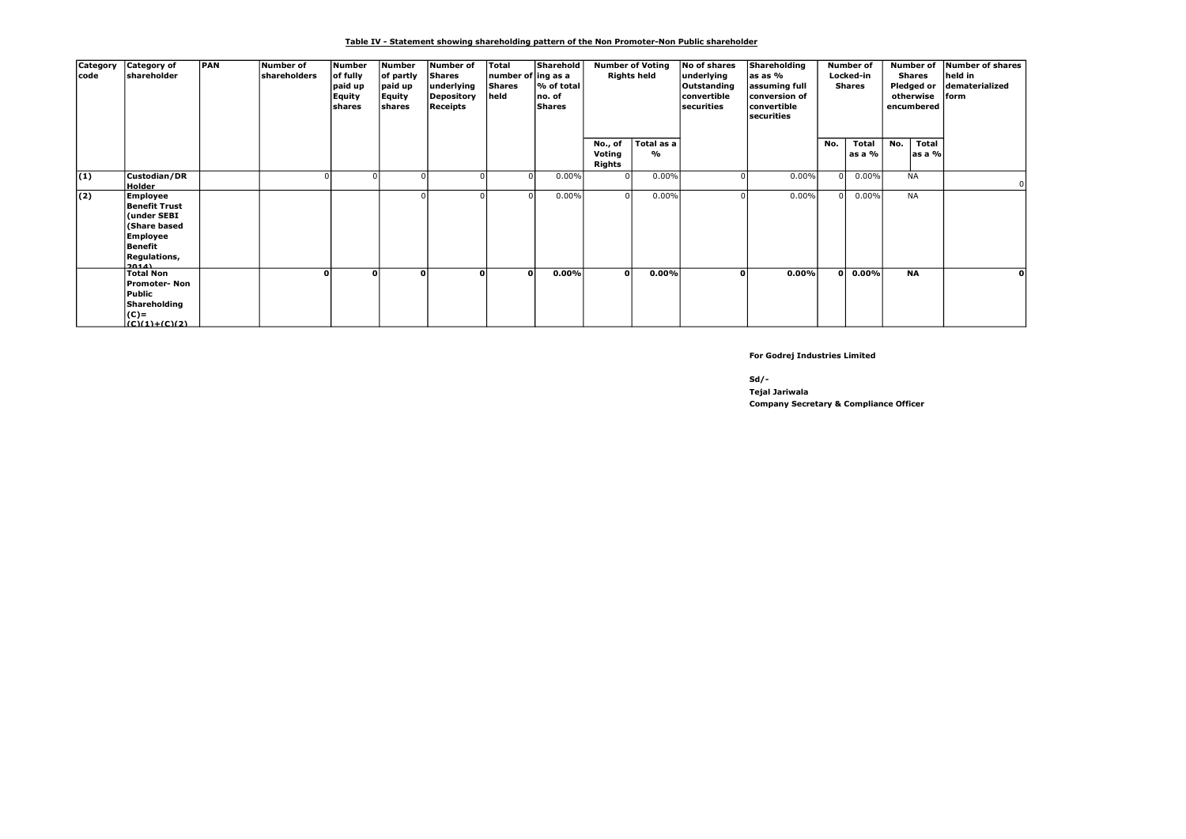#### Table IV - Statement showing shareholding pattern of the Non Promoter-Non Public shareholder

| Category<br>code | Category of<br>shareholder                                                                                                            | <b>PAN</b> | Number of<br>shareholders | <b>Number</b><br>of fully<br>paid up<br>Equity<br>lshares | Number<br>of partly<br>paid up<br>Equity<br>shares | Number of<br>Shares<br>underlying<br>Depository<br>Receipts | Total<br>number of ing as a<br>Shares<br>held | Sharehold<br>l% of total<br>no. of<br><b>Shares</b> |                  | <b>Number of Voting</b><br>No of shares<br><b>Rights held</b><br>underlying<br>Outstanding<br>convertible<br>securities<br>Total as a<br>No., of<br>% |          | Shareholding<br>as as %<br>assuming full<br> conversion of<br>convertible<br>securities |          | <b>Number of</b><br>Locked-in<br><b>Shares</b> |     | Number of<br>Shares<br>Pledged or<br>otherwise<br>encumbered | Number of shares<br>held in<br>dematerialized<br>lform |
|------------------|---------------------------------------------------------------------------------------------------------------------------------------|------------|---------------------------|-----------------------------------------------------------|----------------------------------------------------|-------------------------------------------------------------|-----------------------------------------------|-----------------------------------------------------|------------------|-------------------------------------------------------------------------------------------------------------------------------------------------------|----------|-----------------------------------------------------------------------------------------|----------|------------------------------------------------|-----|--------------------------------------------------------------|--------------------------------------------------------|
|                  |                                                                                                                                       |            |                           |                                                           |                                                    |                                                             |                                               |                                                     | Voting<br>Rights |                                                                                                                                                       |          |                                                                                         | No.      | Total<br>as a %                                | No. | <b>Total</b><br>as a %                                       |                                                        |
| (1)              | Custodian/DR<br>Holder                                                                                                                |            |                           |                                                           |                                                    |                                                             |                                               | 0.00%                                               | $\Omega$         | 0.00%                                                                                                                                                 |          | 0.00%                                                                                   | $\Omega$ | 0.00%                                          |     | <b>NA</b>                                                    |                                                        |
| (2)              | Employee<br><b>Benefit Trust</b><br>(under SEBI<br><b>(Share based)</b><br><b>Employee</b><br>Benefit<br><b>Regulations,</b><br>20141 |            |                           |                                                           |                                                    |                                                             |                                               | $0.00\%$                                            |                  | 0.00%                                                                                                                                                 |          | 0.00%                                                                                   | $\Omega$ | 0.00%                                          |     | <b>NA</b>                                                    |                                                        |
|                  | <b>Total Non</b><br><b>Promoter-Non</b><br>Public<br>Shareholding<br> C <br>$(0.011) + (0.02)$                                        |            |                           | n                                                         |                                                    | U                                                           | οl                                            | 0.00%                                               | $\Omega$         | 0.00%                                                                                                                                                 | $\Omega$ | 0.00%                                                                                   | οl       | $0.00\%$                                       |     | <b>NA</b>                                                    | $\mathbf{0}$                                           |

For Godrej Industries Limited

Sd/-

Company Secretary & Compliance Officer Tejal Jariwala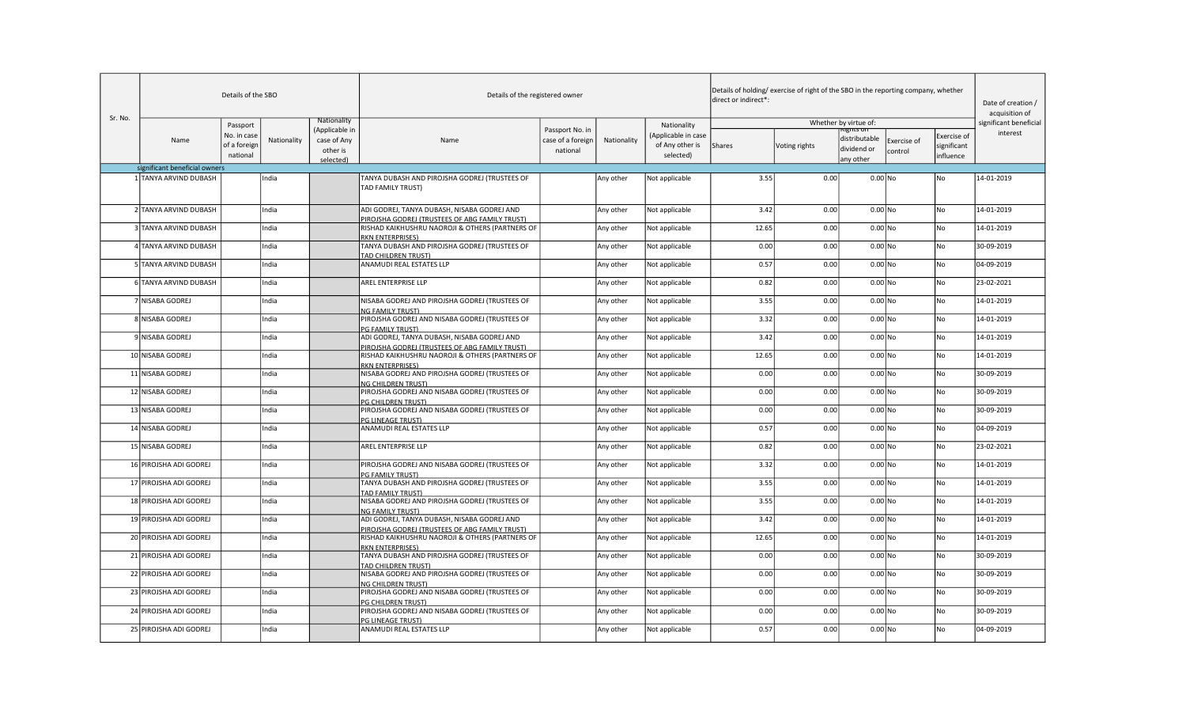|         |                               | Details of the SBO                      |             |                                           | Details of the registered owner                                                               |                                                  |             |                                                     | direct or indirect*: | Details of holding/exercise of right of the SBO in the reporting company, whether |                                                        |                        |                                                | Date of creation /<br>acquisition of |
|---------|-------------------------------|-----------------------------------------|-------------|-------------------------------------------|-----------------------------------------------------------------------------------------------|--------------------------------------------------|-------------|-----------------------------------------------------|----------------------|-----------------------------------------------------------------------------------|--------------------------------------------------------|------------------------|------------------------------------------------|--------------------------------------|
| Sr. No. |                               | Passport                                |             | Nationality                               |                                                                                               |                                                  |             | Nationality                                         |                      |                                                                                   | Whether by virtue of:                                  |                        |                                                | significant beneficial               |
|         | Name                          | No. in case<br>of a foreign<br>national | Nationality | (Applicable in<br>case of Any<br>other is | Name                                                                                          | Passport No. in<br>case of a foreign<br>national | Nationality | (Applicable in case<br>of Any other is<br>selected) | <b>Shares</b>        | Voting rights                                                                     | וט צווצו.<br>distributable<br>dividend or<br>any other | Exercise of<br>control | <b>Exercise</b> of<br>significant<br>influence | interest                             |
|         | significant beneficial owners |                                         |             | selected)                                 |                                                                                               |                                                  |             |                                                     |                      |                                                                                   |                                                        |                        |                                                |                                      |
|         | 1 TANYA ARVIND DUBASH         |                                         | India       |                                           | TANYA DUBASH AND PIROJSHA GODREJ (TRUSTEES OF                                                 |                                                  |             | Not applicable                                      | 3.55                 | 0.00                                                                              | $0.00$ No                                              |                        | No                                             | 14-01-2019                           |
|         |                               |                                         |             |                                           | TAD FAMILY TRUST)                                                                             |                                                  | Any other   |                                                     |                      |                                                                                   |                                                        |                        |                                                |                                      |
|         | 2 TANYA ARVIND DUBASH         |                                         | India       |                                           | ADI GODREJ, TANYA DUBASH, NISABA GODREJ AND<br>PIROJSHA GODREJ (TRUSTEES OF ABG FAMILY TRUST) |                                                  | Any other   | Not applicable                                      | 3.42                 | 0.00                                                                              | $0.00$ No                                              |                        | No                                             | 14-01-2019                           |
|         | 3 TANYA ARVIND DUBASH         |                                         | India       |                                           | RISHAD KAIKHUSHRU NAOROJI & OTHERS (PARTNERS OF<br><b>RKN ENTERPRISES)</b>                    |                                                  | Any other   | Not applicable                                      | 12.65                | 0.00                                                                              | $0.00$ No                                              |                        | No                                             | 14-01-2019                           |
|         | 4 TANYA ARVIND DUBASH         |                                         | India       |                                           | TANYA DUBASH AND PIROJSHA GODREJ (TRUSTEES OF<br>TAD CHILDREN TRUST)                          |                                                  | Any other   | Not applicable                                      | 0.00                 | 0.00                                                                              | $0.00$ No                                              |                        | No                                             | 30-09-2019                           |
|         | 5 TANYA ARVIND DUBASH         |                                         | India       |                                           | ANAMUDI REAL ESTATES LLP                                                                      |                                                  | Any other   | Not applicable                                      | 0.57                 | 0.00                                                                              | $0.00$ No                                              |                        | No                                             | 04-09-2019                           |
|         | 6 TANYA ARVIND DUBASH         |                                         | India       |                                           | <b>AREL ENTERPRISE LLP</b>                                                                    |                                                  | Any other   | Not applicable                                      | 0.82                 | 0.00                                                                              | $0.00$ No                                              |                        | l No                                           | 23-02-2021                           |
|         | 7 NISABA GODREJ               |                                         | India       |                                           | NISABA GODREJ AND PIROJSHA GODREJ (TRUSTEES OF<br><b>NG FAMILY TRUST)</b>                     |                                                  | Any other   | Not applicable                                      | 3.55                 | 0.00                                                                              | $0.00$ No                                              |                        | l No                                           | 14-01-2019                           |
|         | 8 NISABA GODREJ               |                                         | India       |                                           | PIROJSHA GODREJ AND NISABA GODREJ (TRUSTEES OF<br>PG FAMILY TRUST)                            |                                                  | Any other   | Not applicable                                      | 3.32                 | 0.00                                                                              | $0.00$ No                                              |                        | l No                                           | 14-01-2019                           |
|         | 9 NISABA GODREJ               |                                         | India       |                                           | ADI GODREJ, TANYA DUBASH, NISABA GODREJ AND<br>PIROJSHA GODREJ (TRUSTEES OF ABG FAMILY TRUST) |                                                  | Any other   | Not applicable                                      | 3.42                 | 0.00                                                                              | $0.00$ No                                              |                        | No                                             | 14-01-2019                           |
|         | 10 NISABA GODREJ              |                                         | India       |                                           | RISHAD KAIKHUSHRU NAOROJI & OTHERS (PARTNERS OF<br><b>RKN ENTERPRISES)</b>                    |                                                  | Any other   | Not applicable                                      | 12.65                | 0.00                                                                              | $0.00$ No                                              |                        | No                                             | 14-01-2019                           |
|         | 11 NISABA GODREJ              |                                         | India       |                                           | NISABA GODREJ AND PIROJSHA GODREJ (TRUSTEES OF<br><b>NG CHILDREN TRUST)</b>                   |                                                  | Any other   | Not applicable                                      | 0.00                 | 0.00                                                                              | $0.00$ No                                              |                        | No                                             | 30-09-2019                           |
|         | 12 NISABA GODREJ              |                                         | India       |                                           | PIROJSHA GODREJ AND NISABA GODREJ (TRUSTEES OF<br>PG CHILDREN TRUST)                          |                                                  | Any other   | Not applicable                                      | 0.00                 | 0.00                                                                              | $0.00$ No                                              |                        | No.                                            | 30-09-2019                           |
|         | 13 NISABA GODREJ              |                                         | India       |                                           | PIROJSHA GODREJ AND NISABA GODREJ (TRUSTEES OF<br><b>PG LINEAGE TRUST)</b>                    |                                                  | Any other   | Not applicable                                      | 0.00                 | 0.00                                                                              | $0.00$ No                                              |                        | No                                             | 30-09-2019                           |
|         | 14 NISABA GODREJ              |                                         | India       |                                           | ANAMUDI REAL ESTATES LLP                                                                      |                                                  | Any other   | Not applicable                                      | 0.57                 | 0.00                                                                              | $0.00$ No                                              |                        | No                                             | 04-09-2019                           |
|         | 15 NISABA GODREJ              |                                         | India       |                                           | <b>AREL ENTERPRISE LLP</b>                                                                    |                                                  | Any other   | Not applicable                                      | 0.82                 | 0.00                                                                              | $0.00$ No                                              |                        | No                                             | 23-02-2021                           |
|         | 16 PIROJSHA ADI GODREJ        |                                         | India       |                                           | PIROJSHA GODREJ AND NISABA GODREJ (TRUSTEES OF<br><b>G FAMILY TRUST)</b>                      |                                                  | Any other   | Not applicable                                      | 3.32                 | 0.00                                                                              | $0.00$ No                                              |                        | No                                             | 14-01-2019                           |
|         | 17 PIROJSHA ADI GODREJ        |                                         | India       |                                           | TANYA DUBASH AND PIROJSHA GODREJ (TRUSTEES OF<br><b>TAD FAMILY TRUST)</b>                     |                                                  | Any other   | Not applicable                                      | 3.55                 | 0.00                                                                              | $0.00 $ No                                             |                        | No                                             | 14-01-2019                           |
|         | 18 PIROJSHA ADI GODREJ        |                                         | India       |                                           | NISABA GODREJ AND PIROJSHA GODREJ (TRUSTEES OF<br>NG FAMILY TRUST)                            |                                                  | Any other   | Not applicable                                      | 3.55                 | 0.00                                                                              | $0.00$ No                                              |                        | l No                                           | 14-01-2019                           |
|         | 19 PIROJSHA ADI GODREJ        |                                         | India       |                                           | ADI GODREJ, TANYA DUBASH, NISABA GODREJ AND<br>PIROJSHA GODREJ (TRUSTEES OF ABG FAMILY TRUST) |                                                  | Any other   | Not applicable                                      | 3.42                 | 0.00                                                                              | $0.00$ No                                              |                        | No                                             | 14-01-2019                           |
|         | 20 PIROJSHA ADI GODREJ        |                                         | India       |                                           | RISHAD KAIKHUSHRU NAOROJI & OTHERS (PARTNERS OF<br><b>RKN ENTERPRISES)</b>                    |                                                  | Any other   | Not applicable                                      | 12.65                | 0.00                                                                              | $0.00$ No                                              |                        | No                                             | 14-01-2019                           |
|         | 21 PIROJSHA ADI GODREJ        |                                         | India       |                                           | TANYA DUBASH AND PIROJSHA GODREJ (TRUSTEES OF<br><b>FAD CHILDREN TRUST)</b>                   |                                                  | Any other   | Not applicable                                      | 0.00                 | 0.00                                                                              | $0.00$ No                                              |                        | No                                             | 30-09-2019                           |
|         | 22 PIROJSHA ADI GODREJ        |                                         | India       |                                           | NISABA GODREJ AND PIROJSHA GODREJ (TRUSTEES OF<br><b>NG CHILDREN TRUST)</b>                   |                                                  | Any other   | Not applicable                                      | 0.00                 | 0.00                                                                              | $0.00 $ No                                             |                        | No                                             | 30-09-2019                           |
|         | 23 PIROJSHA ADI GODREJ        |                                         | India       |                                           | PIROJSHA GODREJ AND NISABA GODREJ (TRUSTEES OF<br>PG CHILDREN TRUST)                          |                                                  | Any other   | Not applicable                                      | 0.00                 | 0.00                                                                              | $0.00 $ No                                             |                        | No                                             | 30-09-2019                           |
|         | 24 PIROJSHA ADI GODREJ        |                                         | India       |                                           | PIROJSHA GODREJ AND NISABA GODREJ (TRUSTEES OF<br><b>G LINEAGE TRUST)</b>                     |                                                  | Any other   | Not applicable                                      | 0.00                 | 0.00                                                                              | $0.00 $ No                                             |                        | l No                                           | 30-09-2019                           |
|         | 25 PIROJSHA ADI GODREJ        |                                         | India       |                                           | ANAMUDI REAL ESTATES LLP                                                                      |                                                  | Any other   | Not applicable                                      | 0.57                 | 0.00                                                                              | $0.00$ No                                              |                        | No                                             | 04-09-2019                           |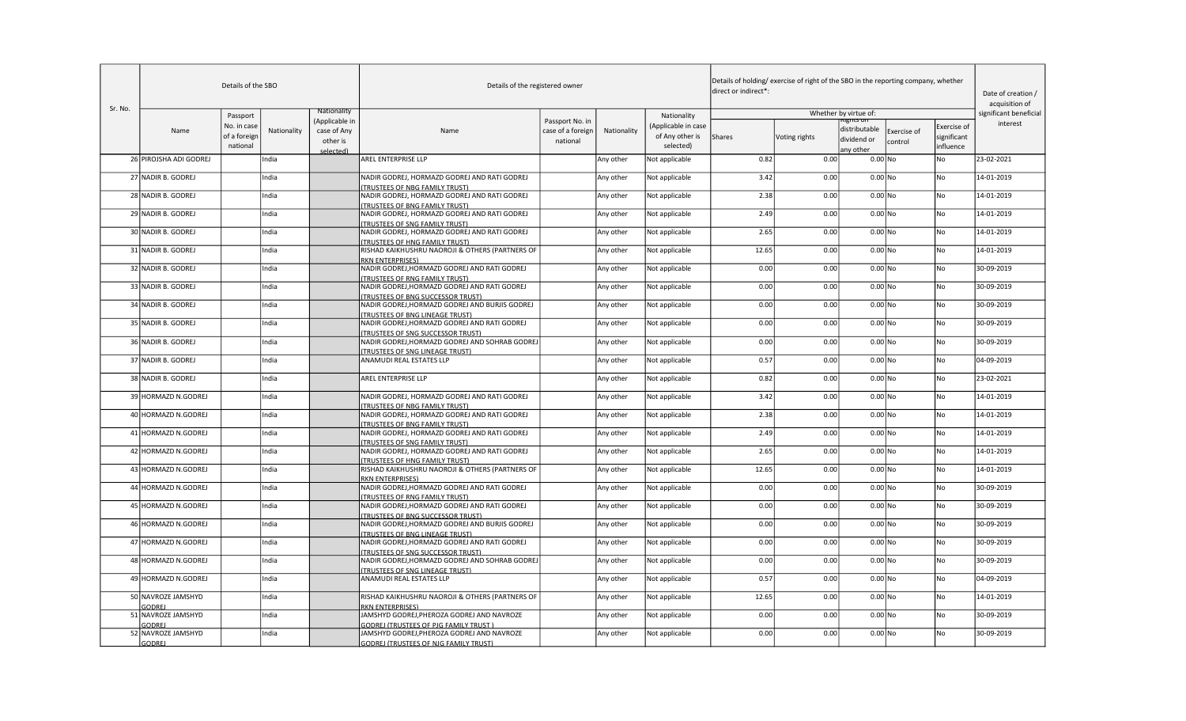|         |                                     | Details of the SBO                      |             |                                                        | Details of the registered owner                                                            |                                                  |             |                                                     | direct or indirect*: | Details of holding/ exercise of right of the SBO in the reporting company, whether |                                           |                        |                                                | Date of creation /<br>acquisition of |
|---------|-------------------------------------|-----------------------------------------|-------------|--------------------------------------------------------|--------------------------------------------------------------------------------------------|--------------------------------------------------|-------------|-----------------------------------------------------|----------------------|------------------------------------------------------------------------------------|-------------------------------------------|------------------------|------------------------------------------------|--------------------------------------|
| Sr. No. |                                     | Passport                                |             | Nationality                                            |                                                                                            |                                                  |             | Nationality                                         |                      |                                                                                    | Whether by virtue of:                     |                        |                                                | significant beneficial               |
|         | Name                                | No. in case<br>of a foreign<br>national | Nationality | (Applicable in<br>case of Any<br>other is<br>selected) | Name                                                                                       | Passport No. in<br>case of a foreign<br>national | Nationality | (Applicable in case<br>of Any other is<br>selected) | Shares               | Voting rights                                                                      | distributable<br>dividend or<br>any other | Exercise of<br>control | <b>Exercise of</b><br>significant<br>influence | interest                             |
|         | 26 PIROJSHA ADI GODREJ              |                                         | India       |                                                        | <b>AREL ENTERPRISE LLP</b>                                                                 |                                                  | Any other   | Not applicable                                      | 0.82                 | 0.00                                                                               | $0.00$ No                                 |                        | No                                             | 23-02-2021                           |
|         | 27 NADIR B. GODREJ                  |                                         | India       |                                                        | NADIR GODREJ, HORMAZD GODREJ AND RATI GODREJ<br>TRUSTEES OF NBG FAMILY TRUST)              |                                                  | Any other   | Not applicable                                      | 3.42                 | 0.00                                                                               | $0.00$ No                                 |                        | No                                             | 14-01-2019                           |
|         | 28 NADIR B. GODREJ                  |                                         | India       |                                                        | NADIR GODREJ, HORMAZD GODREJ AND RATI GODREJ<br>TRUSTEES OF BNG FAMILY TRUST)              |                                                  | Any other   | Not applicable                                      | 2.38                 | 0.00                                                                               | $0.00 $ No                                |                        | No                                             | 14-01-2019                           |
|         | 29 NADIR B. GODREJ                  |                                         | India       |                                                        | NADIR GODREJ, HORMAZD GODREJ AND RATI GODREJ<br><b>TRUSTEES OF SNG FAMILY TRUST)</b>       |                                                  | Any other   | Not applicable                                      | 2.49                 | 0.00                                                                               | $0.00 $ No                                |                        | No                                             | 14-01-2019                           |
|         | 30 NADIR B. GODREJ                  |                                         | India       |                                                        | NADIR GODREJ, HORMAZD GODREJ AND RATI GODREJ<br><b>TRUSTEES OF HNG FAMILY TRUST)</b>       |                                                  | Any other   | Not applicable                                      | 2.65                 | 0.00                                                                               | $0.00 $ No                                |                        | No                                             | 14-01-2019                           |
|         | 31 NADIR B. GODREJ                  |                                         | India       |                                                        | RISHAD KAIKHUSHRU NAOROJI & OTHERS (PARTNERS OF<br>RKN ENTERPRISES)                        |                                                  | Any other   | Not applicable                                      | 12.65                | 0.00                                                                               | $0.00 $ No                                |                        | l No                                           | 14-01-2019                           |
|         | 32 NADIR B. GODREJ                  |                                         | India       |                                                        | NADIR GODREJ, HORMAZD GODREJ AND RATI GODREJ<br><b>TRUSTEES OF RNG FAMILY TRUST)</b>       |                                                  | Any other   | Not applicable                                      | 0.00                 | 0.00                                                                               | $0.00$ No                                 |                        | No                                             | 30-09-2019                           |
|         | 33 NADIR B. GODREJ                  |                                         | India       |                                                        | NADIR GODREJ,HORMAZD GODREJ AND RATI GODREJ<br>TRUSTEES OF BNG SUCCESSOR TRUST)            |                                                  | Any other   | Not applicable                                      | 0.00                 | 0.00                                                                               | $0.00$ No                                 |                        | No                                             | 30-09-2019                           |
|         | 34 NADIR B. GODREJ                  |                                         | India       |                                                        | NADIR GODREJ, HORMAZD GODREJ AND BURJIS GODREJ<br><b>TRUSTEES OF BNG LINEAGE TRUST)</b>    |                                                  | Any other   | Not applicable                                      | 0.00                 | 0.00                                                                               | $0.00$ No                                 |                        | No                                             | 30-09-2019                           |
|         | 35 NADIR B. GODREJ                  |                                         | India       |                                                        | NADIR GODREJ, HORMAZD GODREJ AND RATI GODREJ<br><b>TRUSTEES OF SNG SUCCESSOR TRUST)</b>    |                                                  | Any other   | Not applicable                                      | 0.00                 | 0.00                                                                               | $0.00$ No                                 |                        | No                                             | 30-09-2019                           |
|         | 36 NADIR B. GODREJ                  |                                         | India       |                                                        | NADIR GODREJ,HORMAZD GODREJ AND SOHRAB GODREJ<br><b>TRUSTEES OF SNG LINEAGE TRUST)</b>     |                                                  | Any other   | Not applicable                                      | 0.00                 | 0.00                                                                               | $0.00$ No                                 |                        | No                                             | 30-09-2019                           |
|         | 37 NADIR B. GODREJ                  |                                         | India       |                                                        | ANAMUDI REAL ESTATES LLP                                                                   |                                                  | Any other   | Not applicable                                      | 0.57                 | 0.00                                                                               | $0.00$ No                                 |                        | No                                             | 04-09-2019                           |
|         | 38 NADIR B. GODREJ                  |                                         | India       |                                                        | <b>AREL ENTERPRISE LLP</b>                                                                 |                                                  | Any other   | Not applicable                                      | 0.82                 | 0.00                                                                               | $0.00$ No                                 |                        | No                                             | 23-02-2021                           |
|         | 39 HORMAZD N.GODREJ                 |                                         | India       |                                                        | NADIR GODREJ, HORMAZD GODREJ AND RATI GODREJ<br>TRUSTEES OF NBG FAMILY TRUST)              |                                                  | Any other   | Not applicable                                      | 3.42                 | 0.00                                                                               | $0.00$ No                                 |                        | No                                             | 14-01-2019                           |
|         | 40 HORMAZD N.GODREJ                 |                                         | India       |                                                        | NADIR GODREJ, HORMAZD GODREJ AND RATI GODREJ<br><b>TRUSTEES OF BNG FAMILY TRUST)</b>       |                                                  | Any other   | Not applicable                                      | 2.38                 | 0.00                                                                               | $0.00$ No                                 |                        | No                                             | 14-01-2019                           |
|         | 41 HORMAZD N.GODREJ                 |                                         | India       |                                                        | NADIR GODREJ, HORMAZD GODREJ AND RATI GODREJ<br><b>TRUSTEES OF SNG FAMILY TRUST)</b>       |                                                  | Any other   | Not applicable                                      | 2.49                 | 0.00                                                                               | $0.00 $ No                                |                        | No                                             | 14-01-2019                           |
|         | 42 HORMAZD N.GODREJ                 |                                         | India       |                                                        | NADIR GODREJ, HORMAZD GODREJ AND RATI GODREJ<br><b>TRUSTEES OF HNG FAMILY TRUST)</b>       |                                                  | Any other   | Not applicable                                      | 2.65                 | 0.00                                                                               | $0.00 $ No                                |                        | No                                             | 14-01-2019                           |
|         | 43 HORMAZD N.GODREJ                 |                                         | India       |                                                        | RISHAD KAIKHUSHRU NAOROJI & OTHERS (PARTNERS OF<br><b>RKN ENTERPRISES)</b>                 |                                                  | Any other   | Not applicable                                      | 12.65                | 0.00                                                                               | $0.00$ No                                 |                        | l No                                           | 14-01-2019                           |
|         | 44 HORMAZD N.GODREJ                 |                                         | India       |                                                        | NADIR GODREJ, HORMAZD GODREJ AND RATI GODREJ<br><b>TRUSTEES OF RNG FAMILY TRUST)</b>       |                                                  | Any other   | Not applicable                                      | 0.00                 | 0.00                                                                               | $0.00$ No                                 |                        | No                                             | 30-09-2019                           |
|         | 45 HORMAZD N.GODREJ                 |                                         | India       |                                                        | NADIR GODREJ, HORMAZD GODREJ AND RATI GODREJ<br>TRUSTEES OF BNG SUCCESSOR TRUST)           |                                                  | Any other   | Not applicable                                      | 0.00                 | 0.00                                                                               | $0.00$ No                                 |                        | No                                             | 30-09-2019                           |
|         | 46 HORMAZD N.GODREJ                 |                                         | India       |                                                        | NADIR GODREJ, HORMAZD GODREJ AND BURJIS GODREJ<br><b>TRUSTEES OF BNG LINEAGE TRUST)</b>    |                                                  | Any other   | Not applicable                                      | 0.00                 | 0.00                                                                               | $0.00$ No                                 |                        | No                                             | 30-09-2019                           |
|         | 47 HORMAZD N.GODREJ                 |                                         | India       |                                                        | NADIR GODREJ, HORMAZD GODREJ AND RATI GODREJ<br><b>TRUSTEES OF SNG SUCCESSOR TRUST)</b>    |                                                  | Any other   | Not applicable                                      | 0.00                 | 0.00                                                                               | $0.00 $ No                                |                        | No                                             | 30-09-2019                           |
|         | 48 HORMAZD N.GODREJ                 |                                         | India       |                                                        | NADIR GODREJ, HORMAZD GODREJ AND SOHRAB GODREJ<br><b>TRUSTEES OF SNG LINEAGE TRUST)</b>    |                                                  | Any other   | Not applicable                                      | 0.00                 | 0.00                                                                               | $0.00$ No                                 |                        | No                                             | 30-09-2019                           |
|         | 49 HORMAZD N.GODREJ                 |                                         | India       |                                                        | ANAMUDI REAL ESTATES LLP                                                                   |                                                  | Any other   | Not applicable                                      | 0.57                 | 0.00                                                                               | $0.00$ No                                 |                        | No                                             | 04-09-2019                           |
|         | 50 NAVROZE JAMSHYD<br><b>GODREJ</b> |                                         | India       |                                                        | RISHAD KAIKHUSHRU NAOROJI & OTHERS (PARTNERS OF<br><b>RKN ENTERPRISES)</b>                 |                                                  | Any other   | Not applicable                                      | 12.65                | 0.00                                                                               | $0.00$ No                                 |                        | No                                             | 14-01-2019                           |
|         | 51 NAVROZE JAMSHYD<br><b>GODREJ</b> |                                         | India       |                                                        | JAMSHYD GODREJ, PHEROZA GODREJ AND NAVROZE<br><b>GODREJ (TRUSTEES OF PJG FAMILY TRUST)</b> |                                                  | Any other   | Not applicable                                      | 0.00                 | 0.00                                                                               | $0.00$ No                                 |                        | No                                             | 30-09-2019                           |
|         | 52 NAVROZE JAMSHYD<br>GODREJ        |                                         | India       |                                                        | JAMSHYD GODREJ, PHEROZA GODREJ AND NAVROZE<br><b>GODREJ (TRUSTEES OF NJG FAMILY TRUST)</b> |                                                  | Any other   | Not applicable                                      | 0.00                 | 0.00                                                                               | $0.00$ No                                 |                        | No.                                            | 30-09-2019                           |